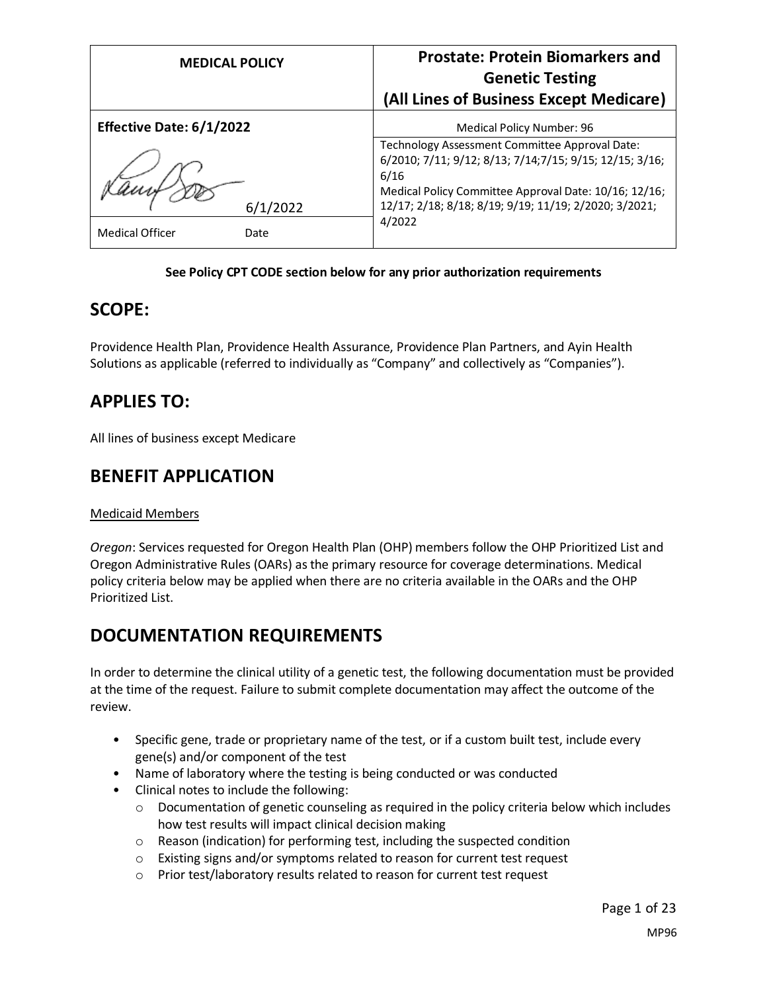| <b>MEDICAL POLICY</b>          | <b>Prostate: Protein Biomarkers and</b><br><b>Genetic Testing</b>                                                  |
|--------------------------------|--------------------------------------------------------------------------------------------------------------------|
|                                | (All Lines of Business Except Medicare)                                                                            |
| Effective Date: 6/1/2022       | Medical Policy Number: 96                                                                                          |
|                                | Technology Assessment Committee Approval Date:<br>6/2010; 7/11; 9/12; 8/13; 7/14; 7/15; 9/15; 12/15; 3/16;<br>6/16 |
| 6/1/2022                       | Medical Policy Committee Approval Date: 10/16; 12/16;<br>12/17; 2/18; 8/18; 8/19; 9/19; 11/19; 2/2020; 3/2021;     |
| <b>Medical Officer</b><br>Date | 4/2022                                                                                                             |

#### **See Policy CPT CODE section below for any prior authorization requirements**

### **SCOPE:**

Providence Health Plan, Providence Health Assurance, Providence Plan Partners, and Ayin Health Solutions as applicable (referred to individually as "Company" and collectively as "Companies").

# **APPLIES TO:**

All lines of business except Medicare

# **BENEFIT APPLICATION**

#### Medicaid Members

*Oregon*: Services requested for Oregon Health Plan (OHP) members follow the OHP Prioritized List and Oregon Administrative Rules (OARs) as the primary resource for coverage determinations. Medical policy criteria below may be applied when there are no criteria available in the OARs and the OHP Prioritized List.

# **DOCUMENTATION REQUIREMENTS**

In order to determine the clinical utility of a genetic test, the following documentation must be provided at the time of the request. Failure to submit complete documentation may affect the outcome of the review.

- Specific gene, trade or proprietary name of the test, or if a custom built test, include every gene(s) and/or component of the test
- Name of laboratory where the testing is being conducted or was conducted
- Clinical notes to include the following:
	- $\circ$  Documentation of genetic counseling as required in the policy criteria below which includes how test results will impact clinical decision making
	- o Reason (indication) for performing test, including the suspected condition
	- o Existing signs and/or symptoms related to reason for current test request
	- o Prior test/laboratory results related to reason for current test request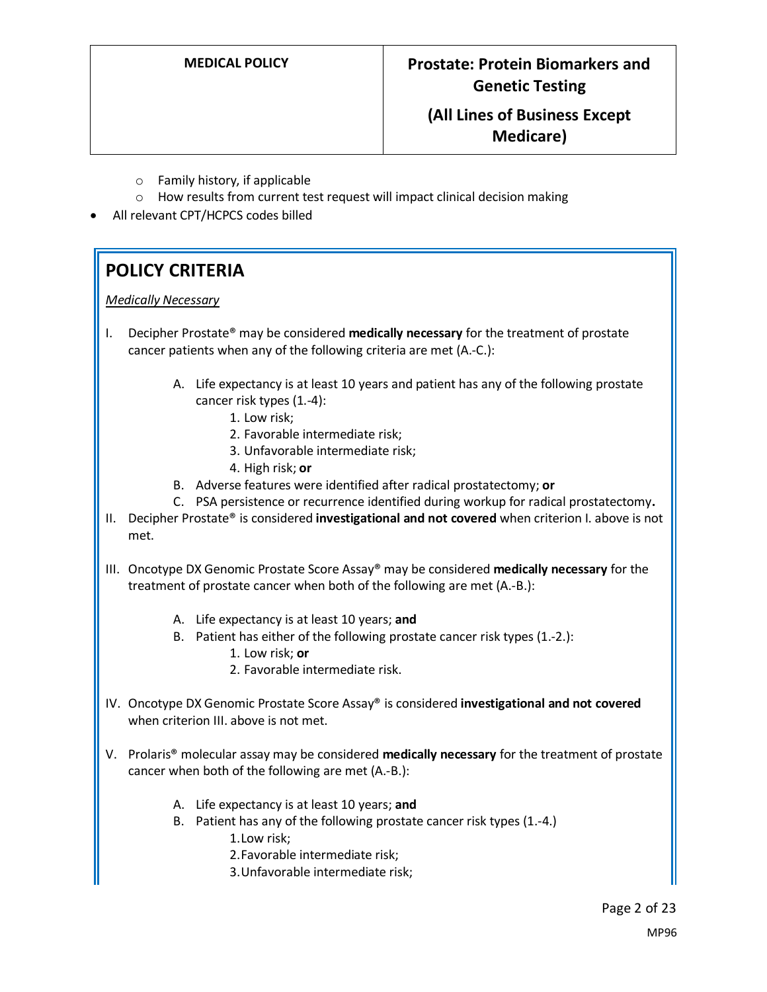- o Family history, if applicable
- o How results from current test request will impact clinical decision making
- All relevant CPT/HCPCS codes billed

# **POLICY CRITERIA**

*Medically Necessary* 

- I. Decipher Prostate® may be considered **medically necessary** for the treatment of prostate cancer patients when any of the following criteria are met (A.-C.):
	- A. Life expectancy is at least 10 years and patient has any of the following prostate cancer risk types (1.-4):
		- 1. Low risk;
		- 2. Favorable intermediate risk;
		- 3. Unfavorable intermediate risk;
		- 4. High risk; **or**
	- B. Adverse features were identified after radical prostatectomy; **or**
	- C. PSA persistence or recurrence identified during workup for radical prostatectomy**.**
- II. Decipher Prostate® is considered **investigational and not covered** when criterion I. above is not met.
- III. Oncotype DX Genomic Prostate Score Assay® may be considered **medically necessary** for the treatment of prostate cancer when both of the following are met (A.-B.):
	- A. Life expectancy is at least 10 years; **and**
	- B. Patient has either of the following prostate cancer risk types (1.-2.): 1. Low risk; **or**
		- 2. Favorable intermediate risk.
- IV. Oncotype DX Genomic Prostate Score Assay® is considered **investigational and not covered** when criterion III. above is not met.
- V. Prolaris® molecular assay may be considered **medically necessary** for the treatment of prostate cancer when both of the following are met (A.-B.):
	- A. Life expectancy is at least 10 years; **and**
	- B. Patient has any of the following prostate cancer risk types (1.-4.) 1.Low risk;
		- 2.Favorable intermediate risk;
		- 3.Unfavorable intermediate risk;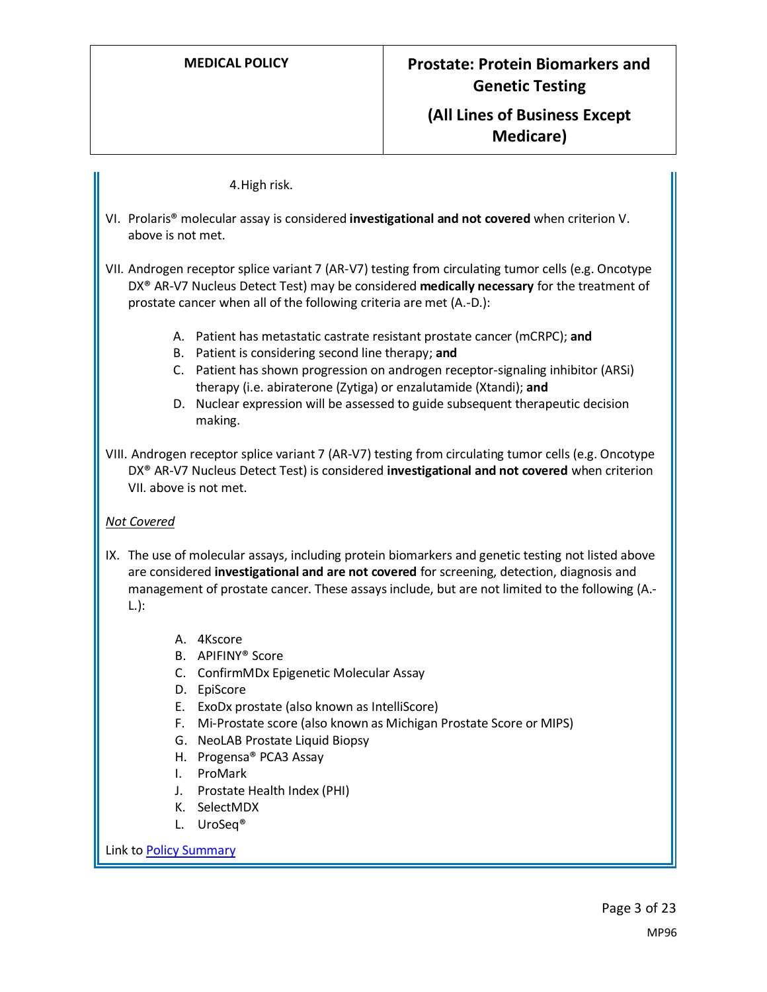#### 4.High risk.

- VI. Prolaris® molecular assay is considered **investigational and not covered** when criterion V. above is not met.
- VII. Androgen receptor splice variant 7 (AR-V7) testing from circulating tumor cells (e.g. Oncotype DX® AR-V7 Nucleus Detect Test) may be considered **medically necessary** for the treatment of prostate cancer when all of the following criteria are met (A.-D.):
	- A. Patient has metastatic castrate resistant prostate cancer (mCRPC); **and**
	- B. Patient is considering second line therapy; **and**
	- C. Patient has shown progression on androgen receptor-signaling inhibitor (ARSi) therapy (i.e. abiraterone (Zytiga) or enzalutamide (Xtandi); **and**
	- D. Nuclear expression will be assessed to guide subsequent therapeutic decision making.
- VIII. Androgen receptor splice variant 7 (AR-V7) testing from circulating tumor cells (e.g. Oncotype DX® AR-V7 Nucleus Detect Test) is considered **investigational and not covered** when criterion VII. above is not met.

#### *Not Covered*

- IX. The use of molecular assays, including protein biomarkers and genetic testing not listed above are considered **investigational and are not covered** for screening, detection, diagnosis and management of prostate cancer. These assays include, but are not limited to the following (A.- L.):
	- A. 4Kscore
	- B. APIFINY® Score
	- C. ConfirmMDx Epigenetic Molecular Assay
	- D. EpiScore
	- E. ExoDx prostate (also known as IntelliScore)
	- F. Mi-Prostate score (also known as Michigan Prostate Score or MIPS)
	- G. NeoLAB Prostate Liquid Biopsy
	- H. Progensa® PCA3 Assay
	- I. ProMark
	- J. Prostate Health Index (PHI)
	- K. SelectMDX
	- L. UroSeq®

Link t[o Policy Summary](#page-19-0)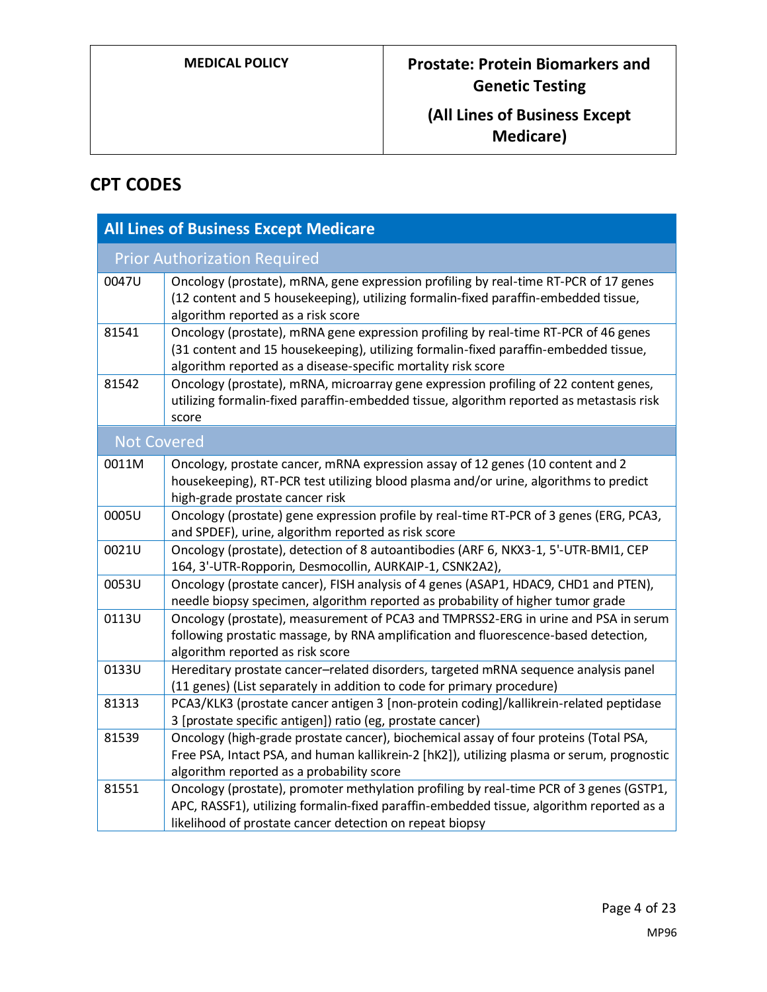# **CPT CODES**

| <b>All Lines of Business Except Medicare</b> |                                                                                                                                                                                                                                                 |  |
|----------------------------------------------|-------------------------------------------------------------------------------------------------------------------------------------------------------------------------------------------------------------------------------------------------|--|
|                                              | <b>Prior Authorization Required</b>                                                                                                                                                                                                             |  |
| 0047U                                        | Oncology (prostate), mRNA, gene expression profiling by real-time RT-PCR of 17 genes<br>(12 content and 5 housekeeping), utilizing formalin-fixed paraffin-embedded tissue,<br>algorithm reported as a risk score                               |  |
| 81541                                        | Oncology (prostate), mRNA gene expression profiling by real-time RT-PCR of 46 genes<br>(31 content and 15 housekeeping), utilizing formalin-fixed paraffin-embedded tissue,<br>algorithm reported as a disease-specific mortality risk score    |  |
| 81542                                        | Oncology (prostate), mRNA, microarray gene expression profiling of 22 content genes,<br>utilizing formalin-fixed paraffin-embedded tissue, algorithm reported as metastasis risk<br>score                                                       |  |
| <b>Not Covered</b>                           |                                                                                                                                                                                                                                                 |  |
| 0011M                                        | Oncology, prostate cancer, mRNA expression assay of 12 genes (10 content and 2<br>housekeeping), RT-PCR test utilizing blood plasma and/or urine, algorithms to predict<br>high-grade prostate cancer risk                                      |  |
| 0005U                                        | Oncology (prostate) gene expression profile by real-time RT-PCR of 3 genes (ERG, PCA3,<br>and SPDEF), urine, algorithm reported as risk score                                                                                                   |  |
| 0021U                                        | Oncology (prostate), detection of 8 autoantibodies (ARF 6, NKX3-1, 5'-UTR-BMI1, CEP<br>164, 3'-UTR-Ropporin, Desmocollin, AURKAIP-1, CSNK2A2),                                                                                                  |  |
| 0053U                                        | Oncology (prostate cancer), FISH analysis of 4 genes (ASAP1, HDAC9, CHD1 and PTEN),<br>needle biopsy specimen, algorithm reported as probability of higher tumor grade                                                                          |  |
| 0113U                                        | Oncology (prostate), measurement of PCA3 and TMPRSS2-ERG in urine and PSA in serum<br>following prostatic massage, by RNA amplification and fluorescence-based detection,<br>algorithm reported as risk score                                   |  |
| 0133U                                        | Hereditary prostate cancer-related disorders, targeted mRNA sequence analysis panel<br>(11 genes) (List separately in addition to code for primary procedure)                                                                                   |  |
| 81313                                        | PCA3/KLK3 (prostate cancer antigen 3 [non-protein coding]/kallikrein-related peptidase<br>3 [prostate specific antigen]) ratio (eg, prostate cancer)                                                                                            |  |
| 81539                                        | Oncology (high-grade prostate cancer), biochemical assay of four proteins (Total PSA,<br>Free PSA, Intact PSA, and human kallikrein-2 [hK2]), utilizing plasma or serum, prognostic<br>algorithm reported as a probability score                |  |
| 81551                                        | Oncology (prostate), promoter methylation profiling by real-time PCR of 3 genes (GSTP1,<br>APC, RASSF1), utilizing formalin-fixed paraffin-embedded tissue, algorithm reported as a<br>likelihood of prostate cancer detection on repeat biopsy |  |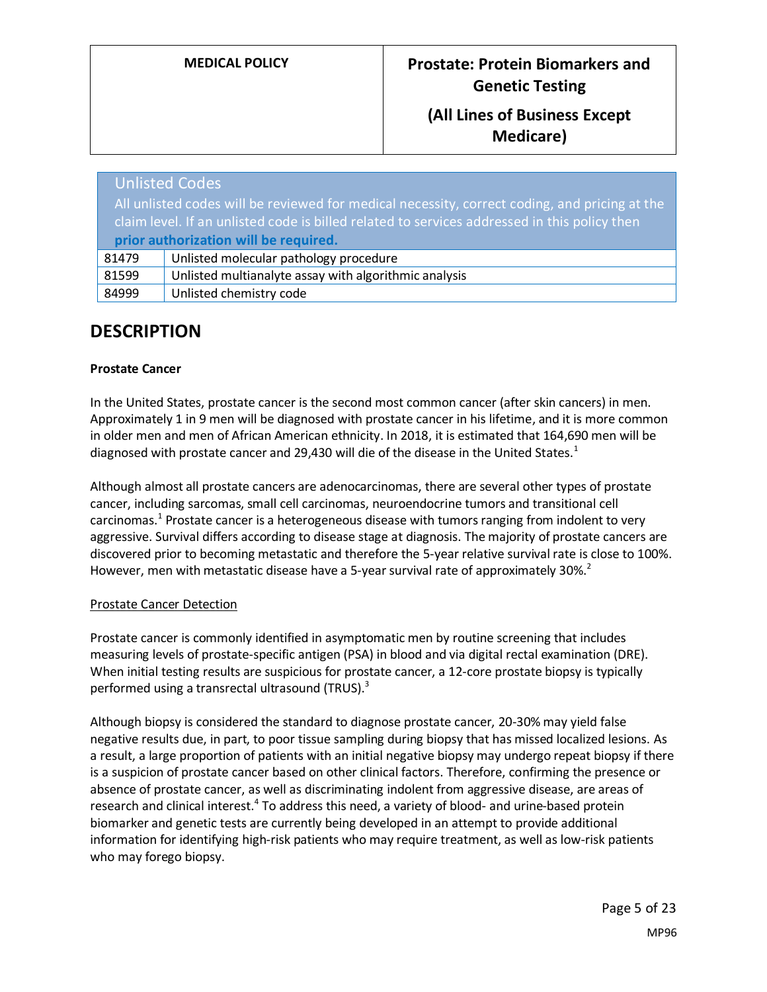|                                                                                                                                                                                               | <b>Unlisted Codes</b>                                 |
|-----------------------------------------------------------------------------------------------------------------------------------------------------------------------------------------------|-------------------------------------------------------|
| All unlisted codes will be reviewed for medical necessity, correct coding, and pricing at the<br>claim level. If an unlisted code is billed related to services addressed in this policy then |                                                       |
|                                                                                                                                                                                               | prior authorization will be required.                 |
| 81479                                                                                                                                                                                         | Unlisted molecular pathology procedure                |
| 81599                                                                                                                                                                                         | Unlisted multianalyte assay with algorithmic analysis |
| 84999                                                                                                                                                                                         | Unlisted chemistry code                               |

# **DESCRIPTION**

#### **Prostate Cancer**

In the United States, prostate cancer is the second most common cancer (after skin cancers) in men. Approximately 1 in 9 men will be diagnosed with prostate cancer in his lifetime, and it is more common in older men and men of African American ethnicity. In 2018, it is estimated that 164,690 men will be diagnosed with prostate cancer and 29,430 will die of the disease in the United States.<sup>1</sup>

Although almost all prostate cancers are adenocarcinomas, there are several other types of prostate cancer, including sarcomas, small cell carcinomas, neuroendocrine tumors and transitional cell carcinomas.<sup>1</sup> Prostate cancer is a heterogeneous disease with tumors ranging from indolent to very aggressive. Survival differs according to disease stage at diagnosis. The majority of prostate cancers are discovered prior to becoming metastatic and therefore the 5-year relative survival rate is close to 100%. However, men with metastatic disease have a 5-year survival rate of approximately 30%.<sup>2</sup>

#### Prostate Cancer Detection

Prostate cancer is commonly identified in asymptomatic men by routine screening that includes measuring levels of prostate-specific antigen (PSA) in blood and via digital rectal examination (DRE). When initial testing results are suspicious for prostate cancer, a 12-core prostate biopsy is typically performed using a transrectal ultrasound (TRUS).<sup>3</sup>

Although biopsy is considered the standard to diagnose prostate cancer, 20-30% may yield false negative results due, in part, to poor tissue sampling during biopsy that has missed localized lesions. As a result, a large proportion of patients with an initial negative biopsy may undergo repeat biopsy if there is a suspicion of prostate cancer based on other clinical factors. Therefore, confirming the presence or absence of prostate cancer, as well as discriminating indolent from aggressive disease, are areas of research and clinical interest.<sup>4</sup> To address this need, a variety of blood- and urine-based protein biomarker and genetic tests are currently being developed in an attempt to provide additional information for identifying high-risk patients who may require treatment, as well as low-risk patients who may forego biopsy.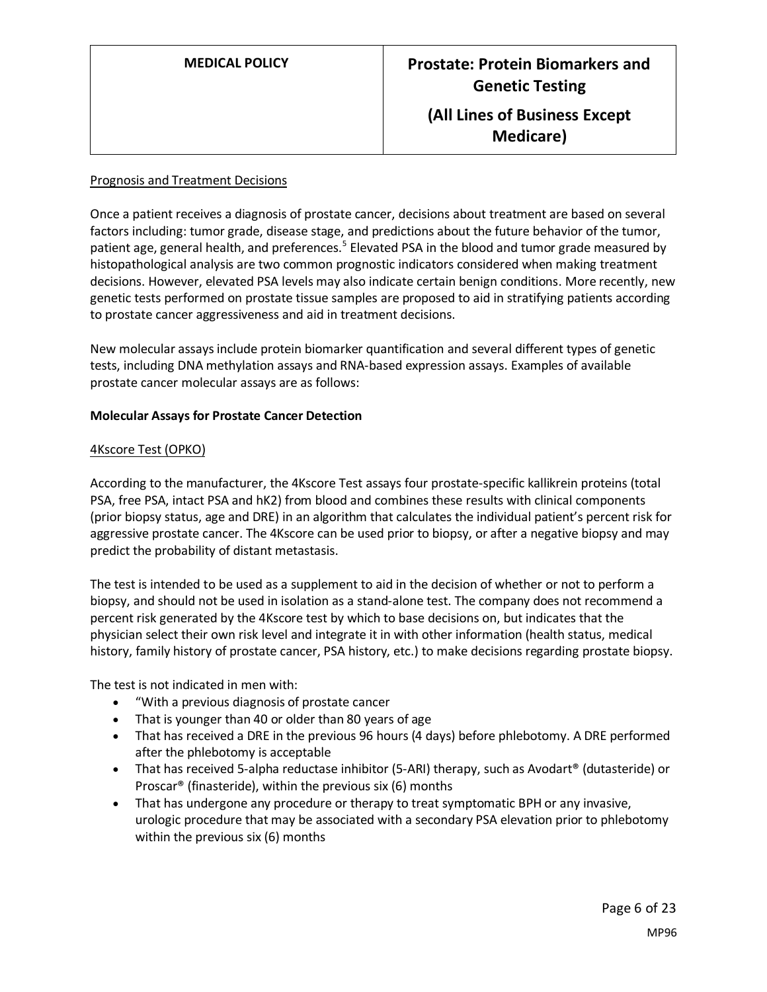#### Prognosis and Treatment Decisions

Once a patient receives a diagnosis of prostate cancer, decisions about treatment are based on several factors including: tumor grade, disease stage, and predictions about the future behavior of the tumor, patient age, general health, and preferences.<sup>5</sup> Elevated PSA in the blood and tumor grade measured by histopathological analysis are two common prognostic indicators considered when making treatment decisions. However, elevated PSA levels may also indicate certain benign conditions. More recently, new genetic tests performed on prostate tissue samples are proposed to aid in stratifying patients according to prostate cancer aggressiveness and aid in treatment decisions.

New molecular assays include protein biomarker quantification and several different types of genetic tests, including DNA methylation assays and RNA-based expression assays. Examples of available prostate cancer molecular assays are as follows:

#### **Molecular Assays for Prostate Cancer Detection**

#### 4Kscore Test (OPKO)

According to the manufacturer, the 4Kscore Test assays four prostate-specific kallikrein proteins (total PSA, free PSA, intact PSA and hK2) from blood and combines these results with clinical components (prior biopsy status, age and DRE) in an algorithm that calculates the individual patient's percent risk for aggressive prostate cancer. The 4Kscore can be used prior to biopsy, or after a negative biopsy and may predict the probability of distant metastasis.

The test is intended to be used as a supplement to aid in the decision of whether or not to perform a biopsy, and should not be used in isolation as a stand-alone test. The company does not recommend a percent risk generated by the 4Kscore test by which to base decisions on, but indicates that the physician select their own risk level and integrate it in with other information (health status, medical history, family history of prostate cancer, PSA history, etc.) to make decisions regarding prostate biopsy.

The test is not indicated in men with:

- "With a previous diagnosis of prostate cancer
- That is younger than 40 or older than 80 years of age
- That has received a DRE in the previous 96 hours (4 days) before phlebotomy. A DRE performed after the phlebotomy is acceptable
- That has received 5-alpha reductase inhibitor (5-ARI) therapy, such as Avodart® (dutasteride) or Proscar® (finasteride), within the previous six (6) months
- That has undergone any procedure or therapy to treat symptomatic BPH or any invasive, urologic procedure that may be associated with a secondary PSA elevation prior to phlebotomy within the previous six (6) months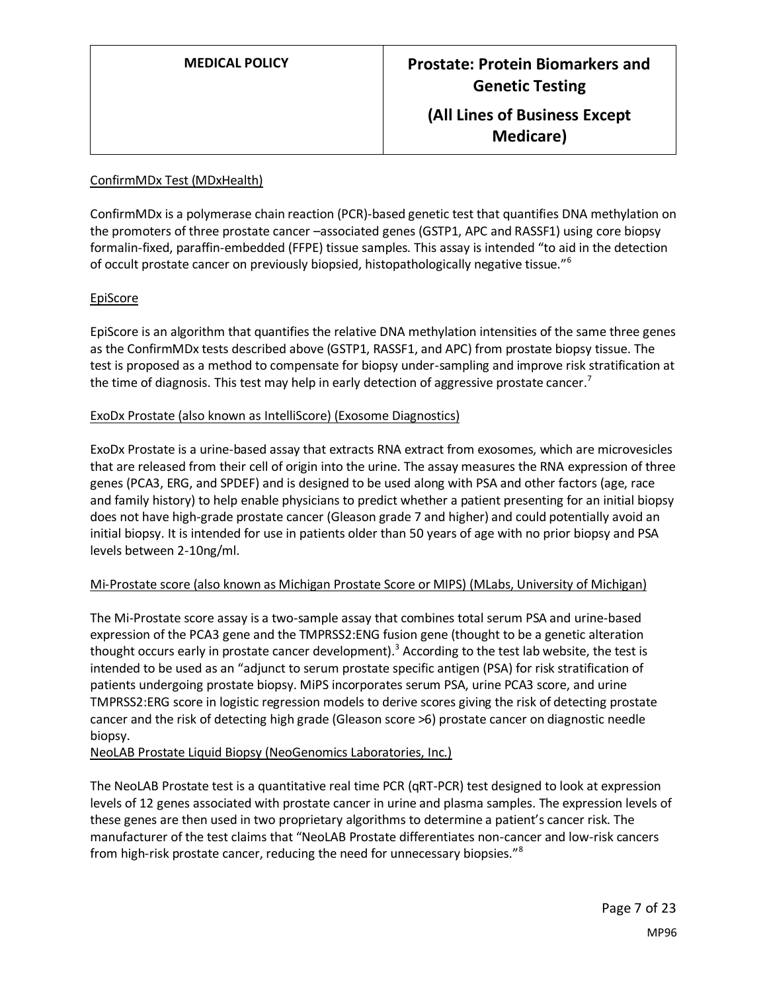# ConfirmMDx Test (MDxHealth)

ConfirmMDx is a polymerase chain reaction (PCR)-based genetic test that quantifies DNA methylation on the promoters of three prostate cancer –associated genes (GSTP1, APC and RASSF1) using core biopsy formalin-fixed, paraffin-embedded (FFPE) tissue samples. This assay is intended "to aid in the detection of occult prostate cancer on previously biopsied, histopathologically negative tissue."<sup>6</sup>

#### EpiScore

EpiScore is an algorithm that quantifies the relative DNA methylation intensities of the same three genes as the ConfirmMDx tests described above (GSTP1, RASSF1, and APC) from prostate biopsy tissue. The test is proposed as a method to compensate for biopsy under-sampling and improve risk stratification at the time of diagnosis. This test may help in early detection of aggressive prostate cancer.<sup>7</sup>

#### ExoDx Prostate (also known as IntelliScore) (Exosome Diagnostics)

ExoDx Prostate is a urine-based assay that extracts RNA extract from exosomes, which are microvesicles that are released from their cell of origin into the urine. The assay measures the RNA expression of three genes (PCA3, ERG, and SPDEF) and is designed to be used along with PSA and other factors (age, race and family history) to help enable physicians to predict whether a patient presenting for an initial biopsy does not have high-grade prostate cancer (Gleason grade 7 and higher) and could potentially avoid an initial biopsy. It is intended for use in patients older than 50 years of age with no prior biopsy and PSA levels between 2-10ng/ml.

#### Mi-Prostate score (also known as Michigan Prostate Score or MIPS) (MLabs, University of Michigan)

The Mi-Prostate score assay is a two-sample assay that combines total serum PSA and urine-based expression of the PCA3 gene and the TMPRSS2:ENG fusion gene (thought to be a genetic alteration thought occurs early in prostate cancer development).<sup>3</sup> According to the test lab website, the test is intended to be used as an "adjunct to serum prostate specific antigen (PSA) for risk stratification of patients undergoing prostate biopsy. MiPS incorporates serum PSA, urine PCA3 score, and urine TMPRSS2:ERG score in logistic regression models to derive scores giving the risk of detecting prostate cancer and the risk of detecting high grade (Gleason score >6) prostate cancer on diagnostic needle biopsy.

NeoLAB Prostate Liquid Biopsy (NeoGenomics Laboratories, Inc.)

The NeoLAB Prostate test is a quantitative real time PCR (qRT-PCR) test designed to look at expression levels of 12 genes associated with prostate cancer in urine and plasma samples. The expression levels of these genes are then used in two proprietary algorithms to determine a patient's cancer risk. The manufacturer of the test claims that "NeoLAB Prostate differentiates non-cancer and low-risk cancers from high-risk prostate cancer, reducing the need for unnecessary biopsies."<sup>8</sup>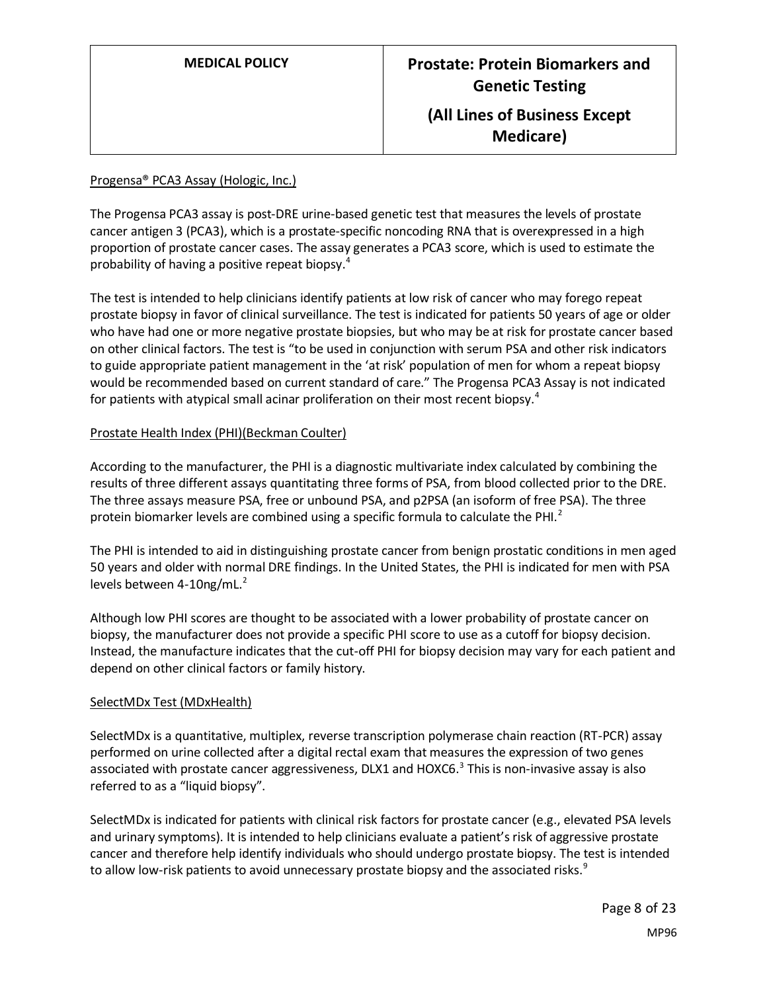#### Progensa® PCA3 Assay (Hologic, Inc.)

The Progensa PCA3 assay is post-DRE urine-based genetic test that measures the levels of prostate cancer antigen 3 (PCA3), which is a prostate-specific noncoding RNA that is overexpressed in a high proportion of prostate cancer cases. The assay generates a PCA3 score, which is used to estimate the probability of having a positive repeat biopsy.<sup>4</sup>

The test is intended to help clinicians identify patients at low risk of cancer who may forego repeat prostate biopsy in favor of clinical surveillance. The test is indicated for patients 50 years of age or older who have had one or more negative prostate biopsies, but who may be at risk for prostate cancer based on other clinical factors. The test is "to be used in conjunction with serum PSA and other risk indicators to guide appropriate patient management in the 'at risk' population of men for whom a repeat biopsy would be recommended based on current standard of care." The Progensa PCA3 Assay is not indicated for patients with atypical small acinar proliferation on their most recent biopsy.<sup>4</sup>

#### Prostate Health Index (PHI)(Beckman Coulter)

According to the manufacturer, the PHI is a diagnostic multivariate index calculated by combining the results of three different assays quantitating three forms of PSA, from blood collected prior to the DRE. The three assays measure PSA, free or unbound PSA, and p2PSA (an isoform of free PSA). The three protein biomarker levels are combined using a specific formula to calculate the PHI.<sup>2</sup>

The PHI is intended to aid in distinguishing prostate cancer from benign prostatic conditions in men aged 50 years and older with normal DRE findings. In the United States, the PHI is indicated for men with PSA levels between 4-10ng/mL. $2$ 

Although low PHI scores are thought to be associated with a lower probability of prostate cancer on biopsy, the manufacturer does not provide a specific PHI score to use as a cutoff for biopsy decision. Instead, the manufacture indicates that the cut-off PHI for biopsy decision may vary for each patient and depend on other clinical factors or family history.

#### SelectMDx Test (MDxHealth)

SelectMDx is a quantitative, multiplex, reverse transcription polymerase chain reaction (RT-PCR) assay performed on urine collected after a digital rectal exam that measures the expression of two genes associated with prostate cancer aggressiveness, DLX1 and HOXC6.<sup>3</sup> This is non-invasive assay is also referred to as a "liquid biopsy".

SelectMDx is indicated for patients with clinical risk factors for prostate cancer (e.g., elevated PSA levels and urinary symptoms). It is intended to help clinicians evaluate a patient's risk of aggressive prostate cancer and therefore help identify individuals who should undergo prostate biopsy. The test is intended to allow low-risk patients to avoid unnecessary prostate biopsy and the associated risks.<sup>9</sup>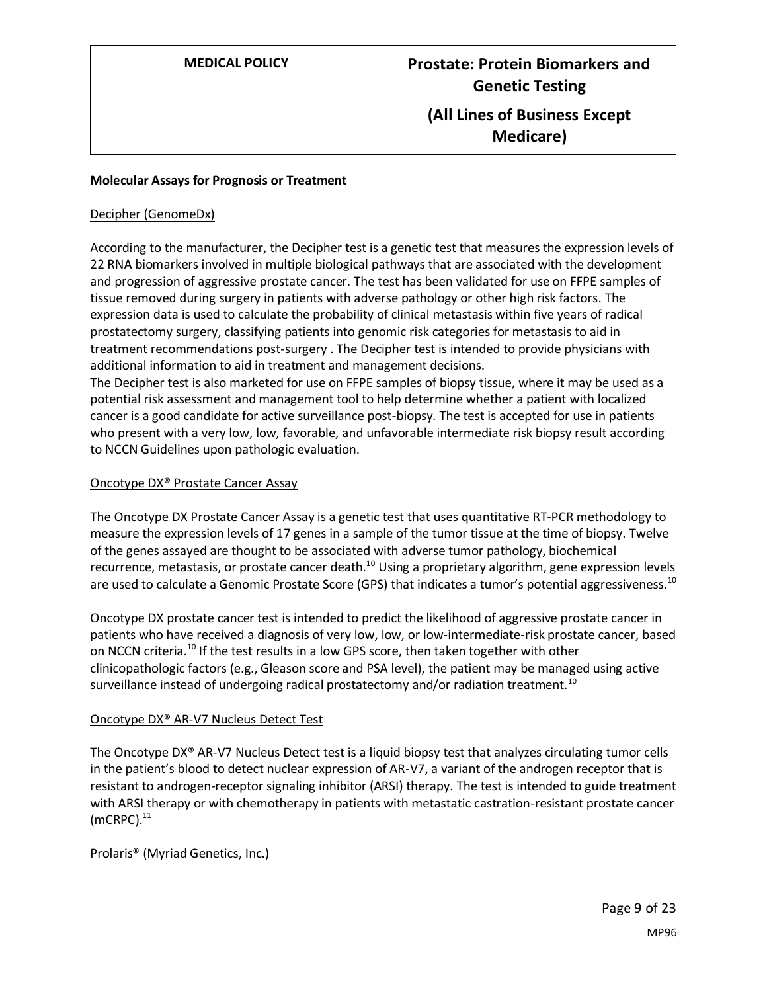#### **Molecular Assays for Prognosis or Treatment**

#### Decipher (GenomeDx)

According to the manufacturer, the Decipher test is a genetic test that measures the expression levels of 22 RNA biomarkers involved in multiple biological pathways that are associated with the development and progression of aggressive prostate cancer. The test has been validated for use on FFPE samples of tissue removed during surgery in patients with adverse pathology or other high risk factors. The expression data is used to calculate the probability of clinical metastasis within five years of radical prostatectomy surgery, classifying patients into genomic risk categories for metastasis to aid in treatment recommendations post-surgery . The Decipher test is intended to provide physicians with additional information to aid in treatment and management decisions.

The Decipher test is also marketed for use on FFPE samples of biopsy tissue, where it may be used as a potential risk assessment and management tool to help determine whether a patient with localized cancer is a good candidate for active surveillance post-biopsy. The test is accepted for use in patients who present with a very low, low, favorable, and unfavorable intermediate risk biopsy result according to NCCN Guidelines upon pathologic evaluation.

#### Oncotype DX® Prostate Cancer Assay

The Oncotype DX Prostate Cancer Assay is a genetic test that uses quantitative RT-PCR methodology to measure the expression levels of 17 genes in a sample of the tumor tissue at the time of biopsy. Twelve of the genes assayed are thought to be associated with adverse tumor pathology, biochemical recurrence, metastasis, or prostate cancer death.<sup>10</sup> Using a proprietary algorithm, gene expression levels are used to calculate a Genomic Prostate Score (GPS) that indicates a tumor's potential aggressiveness.<sup>10</sup>

Oncotype DX prostate cancer test is intended to predict the likelihood of aggressive prostate cancer in patients who have received a diagnosis of very low, low, or low-intermediate-risk prostate cancer, based on NCCN criteria.<sup>10</sup> If the test results in a low GPS score, then taken together with other clinicopathologic factors (e.g., Gleason score and PSA level), the patient may be managed using active surveillance instead of undergoing radical prostatectomy and/or radiation treatment.<sup>10</sup>

#### Oncotype DX® AR-V7 Nucleus Detect Test

The Oncotype DX® AR-V7 Nucleus Detect test is a liquid biopsy test that analyzes circulating tumor cells in the patient's blood to detect nuclear expression of AR-V7, a variant of the androgen receptor that is resistant to androgen-receptor signaling inhibitor (ARSI) therapy. The test is intended to guide treatment with ARSI therapy or with chemotherapy in patients with metastatic castration-resistant prostate cancer  $(mCRPC).$ <sup>11</sup>

#### Prolaris® (Myriad Genetics, Inc.)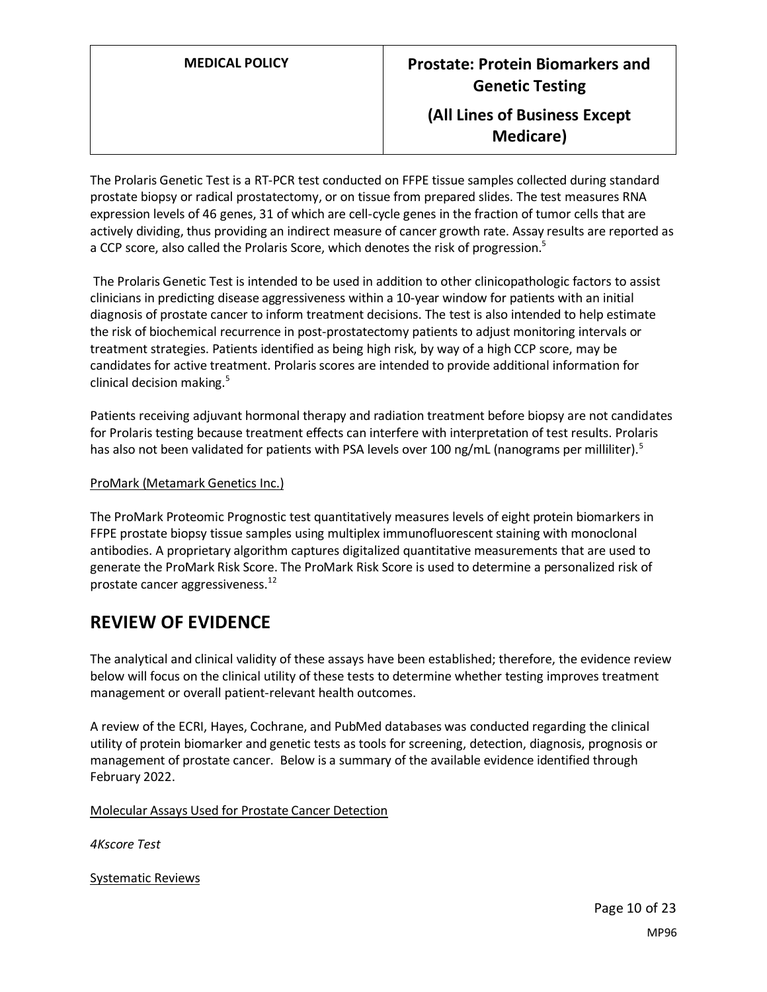The Prolaris Genetic Test is a RT-PCR test conducted on FFPE tissue samples collected during standard prostate biopsy or radical prostatectomy, or on tissue from prepared slides. The test measures RNA expression levels of 46 genes, 31 of which are cell-cycle genes in the fraction of tumor cells that are actively dividing, thus providing an indirect measure of cancer growth rate. Assay results are reported as a CCP score, also called the Prolaris Score, which denotes the risk of progression.<sup>5</sup>

The Prolaris Genetic Test is intended to be used in addition to other clinicopathologic factors to assist clinicians in predicting disease aggressiveness within a 10-year window for patients with an initial diagnosis of prostate cancer to inform treatment decisions. The test is also intended to help estimate the risk of biochemical recurrence in post-prostatectomy patients to adjust monitoring intervals or treatment strategies. Patients identified as being high risk, by way of a high CCP score, may be candidates for active treatment. Prolaris scores are intended to provide additional information for clinical decision making.<sup>5</sup>

Patients receiving adjuvant hormonal therapy and radiation treatment before biopsy are not candidates for Prolaris testing because treatment effects can interfere with interpretation of test results. Prolaris has also not been validated for patients with PSA levels over 100 ng/mL (nanograms per milliliter).<sup>5</sup>

#### ProMark (Metamark Genetics Inc.)

The ProMark Proteomic Prognostic test quantitatively measures levels of eight protein biomarkers in FFPE prostate biopsy tissue samples using multiplex immunofluorescent staining with monoclonal antibodies. A proprietary algorithm captures digitalized quantitative measurements that are used to generate the ProMark Risk Score. The ProMark Risk Score is used to determine a personalized risk of prostate cancer aggressiveness.<sup>12</sup>

### **REVIEW OF EVIDENCE**

The analytical and clinical validity of these assays have been established; therefore, the evidence review below will focus on the clinical utility of these tests to determine whether testing improves treatment management or overall patient-relevant health outcomes.

A review of the ECRI, Hayes, Cochrane, and PubMed databases was conducted regarding the clinical utility of protein biomarker and genetic tests as tools for screening, detection, diagnosis, prognosis or management of prostate cancer. Below is a summary of the available evidence identified through February 2022.

#### Molecular Assays Used for Prostate Cancer Detection

*4Kscore Test*

Systematic Reviews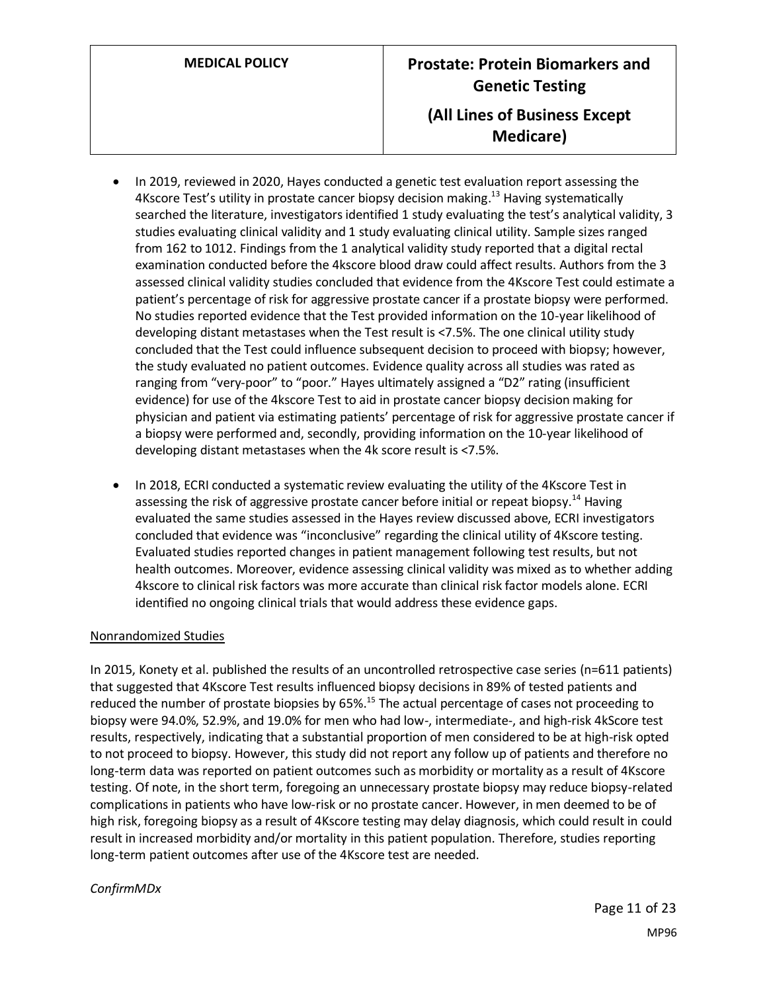- In 2019, reviewed in 2020, Hayes conducted a genetic test evaluation report assessing the 4Kscore Test's utility in prostate cancer biopsy decision making.<sup>13</sup> Having systematically searched the literature, investigators identified 1 study evaluating the test's analytical validity, 3 studies evaluating clinical validity and 1 study evaluating clinical utility. Sample sizes ranged from 162 to 1012. Findings from the 1 analytical validity study reported that a digital rectal examination conducted before the 4kscore blood draw could affect results. Authors from the 3 assessed clinical validity studies concluded that evidence from the 4Kscore Test could estimate a patient's percentage of risk for aggressive prostate cancer if a prostate biopsy were performed. No studies reported evidence that the Test provided information on the 10-year likelihood of developing distant metastases when the Test result is <7.5%. The one clinical utility study concluded that the Test could influence subsequent decision to proceed with biopsy; however, the study evaluated no patient outcomes. Evidence quality across all studies was rated as ranging from "very-poor" to "poor." Hayes ultimately assigned a "D2" rating (insufficient evidence) for use of the 4kscore Test to aid in prostate cancer biopsy decision making for physician and patient via estimating patients' percentage of risk for aggressive prostate cancer if a biopsy were performed and, secondly, providing information on the 10-year likelihood of developing distant metastases when the 4k score result is <7.5%.
- In 2018, ECRI conducted a systematic review evaluating the utility of the 4Kscore Test in assessing the risk of aggressive prostate cancer before initial or repeat biopsy.<sup>14</sup> Having evaluated the same studies assessed in the Hayes review discussed above, ECRI investigators concluded that evidence was "inconclusive" regarding the clinical utility of 4Kscore testing. Evaluated studies reported changes in patient management following test results, but not health outcomes. Moreover, evidence assessing clinical validity was mixed as to whether adding 4kscore to clinical risk factors was more accurate than clinical risk factor models alone. ECRI identified no ongoing clinical trials that would address these evidence gaps.

#### Nonrandomized Studies

In 2015, Konety et al. published the results of an uncontrolled retrospective case series (n=611 patients) that suggested that 4Kscore Test results influenced biopsy decisions in 89% of tested patients and reduced the number of prostate biopsies by  $65\%$ <sup>15</sup> The actual percentage of cases not proceeding to biopsy were 94.0%, 52.9%, and 19.0% for men who had low-, intermediate-, and high-risk 4kScore test results, respectively, indicating that a substantial proportion of men considered to be at high-risk opted to not proceed to biopsy. However, this study did not report any follow up of patients and therefore no long-term data was reported on patient outcomes such as morbidity or mortality as a result of 4Kscore testing. Of note, in the short term, foregoing an unnecessary prostate biopsy may reduce biopsy-related complications in patients who have low-risk or no prostate cancer. However, in men deemed to be of high risk, foregoing biopsy as a result of 4Kscore testing may delay diagnosis, which could result in could result in increased morbidity and/or mortality in this patient population. Therefore, studies reporting long-term patient outcomes after use of the 4Kscore test are needed.

#### *ConfirmMDx*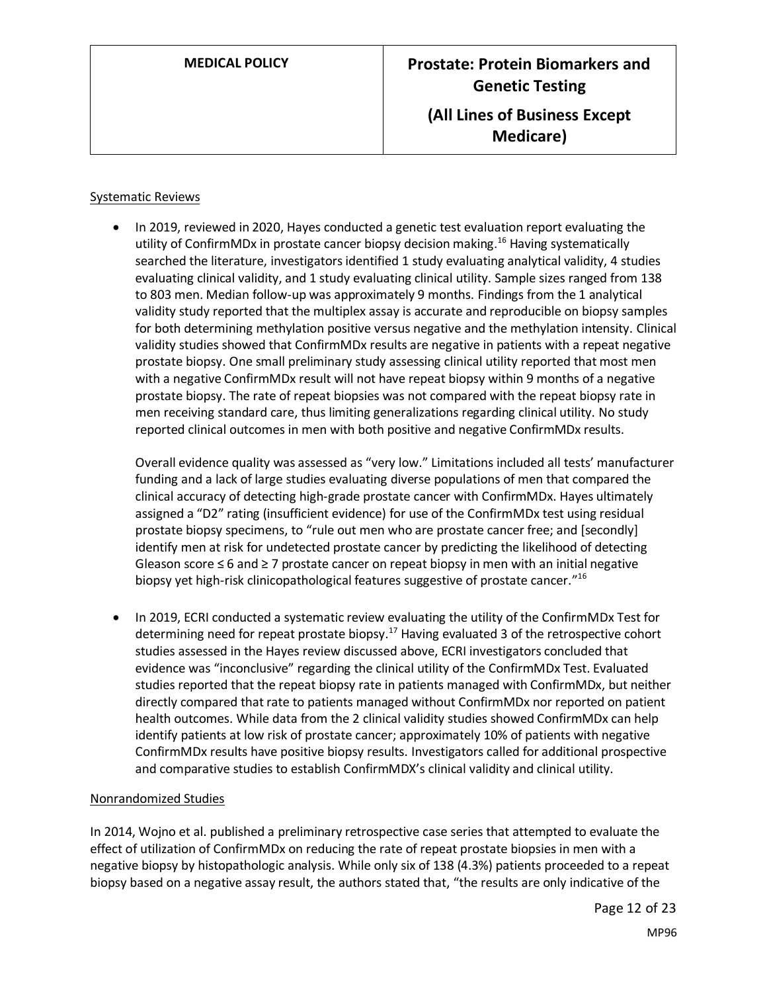#### Systematic Reviews

• In 2019, reviewed in 2020, Hayes conducted a genetic test evaluation report evaluating the utility of ConfirmMDx in prostate cancer biopsy decision making.<sup>16</sup> Having systematically searched the literature, investigators identified 1 study evaluating analytical validity, 4 studies evaluating clinical validity, and 1 study evaluating clinical utility. Sample sizes ranged from 138 to 803 men. Median follow-up was approximately 9 months. Findings from the 1 analytical validity study reported that the multiplex assay is accurate and reproducible on biopsy samples for both determining methylation positive versus negative and the methylation intensity. Clinical validity studies showed that ConfirmMDx results are negative in patients with a repeat negative prostate biopsy. One small preliminary study assessing clinical utility reported that most men with a negative ConfirmMDx result will not have repeat biopsy within 9 months of a negative prostate biopsy. The rate of repeat biopsies was not compared with the repeat biopsy rate in men receiving standard care, thus limiting generalizations regarding clinical utility. No study reported clinical outcomes in men with both positive and negative ConfirmMDx results.

Overall evidence quality was assessed as "very low." Limitations included all tests' manufacturer funding and a lack of large studies evaluating diverse populations of men that compared the clinical accuracy of detecting high-grade prostate cancer with ConfirmMDx. Hayes ultimately assigned a "D2" rating (insufficient evidence) for use of the ConfirmMDx test using residual prostate biopsy specimens, to "rule out men who are prostate cancer free; and [secondly] identify men at risk for undetected prostate cancer by predicting the likelihood of detecting Gleason score ≤ 6 and ≥ 7 prostate cancer on repeat biopsy in men with an initial negative biopsy yet high-risk clinicopathological features suggestive of prostate cancer."<sup>16</sup>

• In 2019, ECRI conducted a systematic review evaluating the utility of the ConfirmMDx Test for determining need for repeat prostate biopsy.<sup>17</sup> Having evaluated 3 of the retrospective cohort studies assessed in the Hayes review discussed above, ECRI investigators concluded that evidence was "inconclusive" regarding the clinical utility of the ConfirmMDx Test. Evaluated studies reported that the repeat biopsy rate in patients managed with ConfirmMDx, but neither directly compared that rate to patients managed without ConfirmMDx nor reported on patient health outcomes. While data from the 2 clinical validity studies showed ConfirmMDx can help identify patients at low risk of prostate cancer; approximately 10% of patients with negative ConfirmMDx results have positive biopsy results. Investigators called for additional prospective and comparative studies to establish ConfirmMDX's clinical validity and clinical utility.

#### Nonrandomized Studies

In 2014, Wojno et al. published a preliminary retrospective case series that attempted to evaluate the effect of utilization of ConfirmMDx on reducing the rate of repeat prostate biopsies in men with a negative biopsy by histopathologic analysis. While only six of 138 (4.3%) patients proceeded to a repeat biopsy based on a negative assay result, the authors stated that, "the results are only indicative of the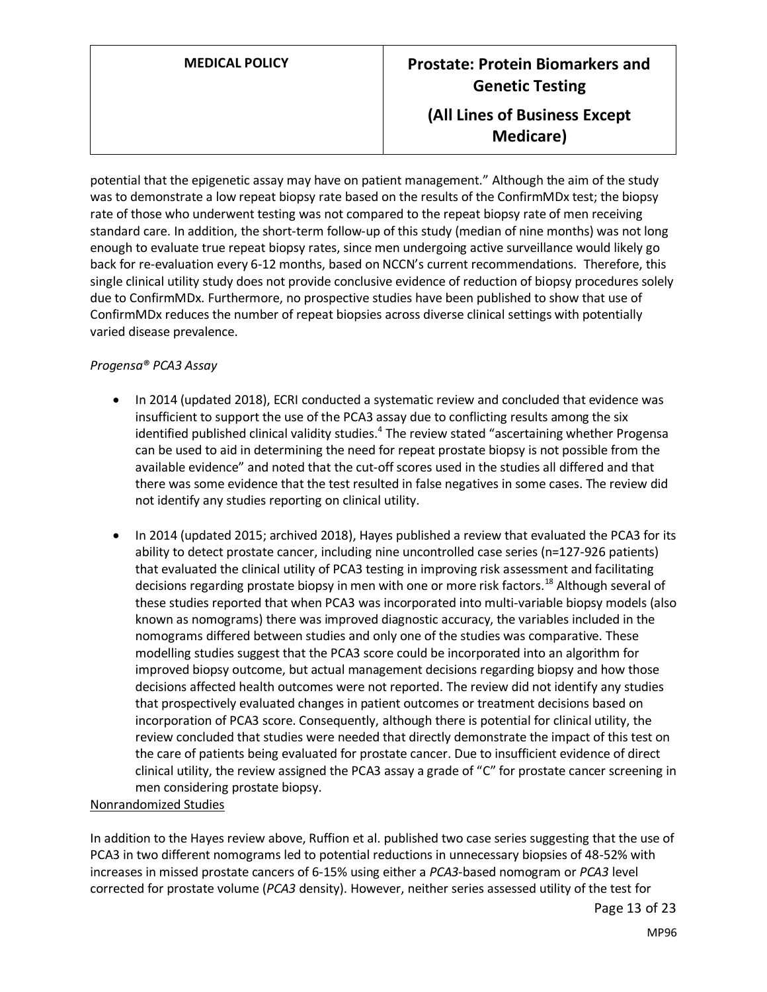# **MEDICAL POLICY Prostate: Protein Biomarkers and Genetic Testing (All Lines of Business Except Medicare)**

potential that the epigenetic assay may have on patient management." Although the aim of the study was to demonstrate a low repeat biopsy rate based on the results of the ConfirmMDx test; the biopsy rate of those who underwent testing was not compared to the repeat biopsy rate of men receiving standard care. In addition, the short-term follow-up of this study (median of nine months) was not long enough to evaluate true repeat biopsy rates, since men undergoing active surveillance would likely go back for re-evaluation every 6-12 months, based on NCCN's current recommendations. Therefore, this single clinical utility study does not provide conclusive evidence of reduction of biopsy procedures solely due to ConfirmMDx. Furthermore, no prospective studies have been published to show that use of ConfirmMDx reduces the number of repeat biopsies across diverse clinical settings with potentially varied disease prevalence.

#### *Progensa® PCA3 Assay*

- In 2014 (updated 2018), ECRI conducted a systematic review and concluded that evidence was insufficient to support the use of the PCA3 assay due to conflicting results among the six identified published clinical validity studies.<sup>4</sup> The review stated "ascertaining whether Progensa can be used to aid in determining the need for repeat prostate biopsy is not possible from the available evidence" and noted that the cut-off scores used in the studies all differed and that there was some evidence that the test resulted in false negatives in some cases. The review did not identify any studies reporting on clinical utility.
- In 2014 (updated 2015; archived 2018), Hayes published a review that evaluated the PCA3 for its ability to detect prostate cancer, including nine uncontrolled case series (n=127-926 patients) that evaluated the clinical utility of PCA3 testing in improving risk assessment and facilitating decisions regarding prostate biopsy in men with one or more risk factors.<sup>18</sup> Although several of these studies reported that when PCA3 was incorporated into multi-variable biopsy models (also known as nomograms) there was improved diagnostic accuracy, the variables included in the nomograms differed between studies and only one of the studies was comparative. These modelling studies suggest that the PCA3 score could be incorporated into an algorithm for improved biopsy outcome, but actual management decisions regarding biopsy and how those decisions affected health outcomes were not reported. The review did not identify any studies that prospectively evaluated changes in patient outcomes or treatment decisions based on incorporation of PCA3 score. Consequently, although there is potential for clinical utility, the review concluded that studies were needed that directly demonstrate the impact of this test on the care of patients being evaluated for prostate cancer. Due to insufficient evidence of direct clinical utility, the review assigned the PCA3 assay a grade of "C" for prostate cancer screening in men considering prostate biopsy.

#### Nonrandomized Studies

In addition to the Hayes review above, Ruffion et al. published two case series suggesting that the use of PCA3 in two different nomograms led to potential reductions in unnecessary biopsies of 48-52% with increases in missed prostate cancers of 6-15% using either a *PCA3*-based nomogram or *PCA3* level corrected for prostate volume (*PCA3* density). However, neither series assessed utility of the test for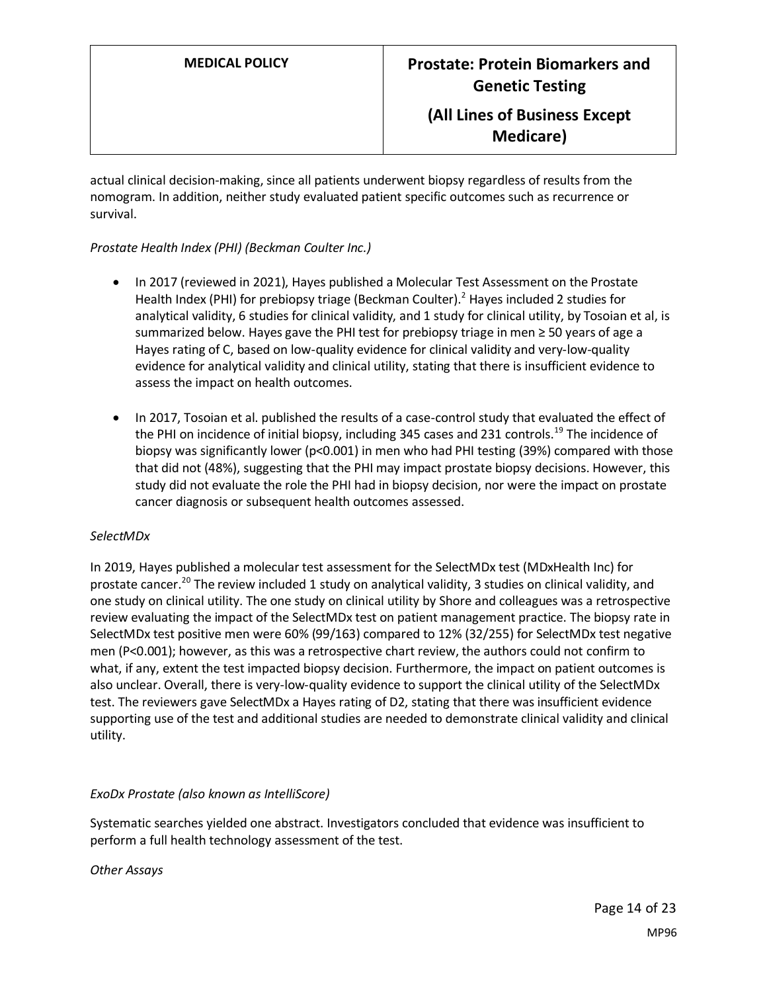actual clinical decision-making, since all patients underwent biopsy regardless of results from the nomogram. In addition, neither study evaluated patient specific outcomes such as recurrence or survival.

#### *Prostate Health Index (PHI) (Beckman Coulter Inc.)*

- In 2017 (reviewed in 2021), Hayes published a Molecular Test Assessment on the Prostate Health Index (PHI) for prebiopsy triage (Beckman Coulter).<sup>2</sup> Hayes included 2 studies for analytical validity, 6 studies for clinical validity, and 1 study for clinical utility, by Tosoian et al, is summarized below. Hayes gave the PHI test for prebiopsy triage in men ≥ 50 years of age a Hayes rating of C, based on low-quality evidence for clinical validity and very-low-quality evidence for analytical validity and clinical utility, stating that there is insufficient evidence to assess the impact on health outcomes.
- In 2017, Tosoian et al. published the results of a case-control study that evaluated the effect of the PHI on incidence of initial biopsy, including 345 cases and 231 controls.<sup>19</sup> The incidence of biopsy was significantly lower (p<0.001) in men who had PHI testing (39%) compared with those that did not (48%), suggesting that the PHI may impact prostate biopsy decisions. However, this study did not evaluate the role the PHI had in biopsy decision, nor were the impact on prostate cancer diagnosis or subsequent health outcomes assessed.

#### *SelectMDx*

In 2019, Hayes published a molecular test assessment for the SelectMDx test (MDxHealth Inc) for prostate cancer.<sup>20</sup> The review included 1 study on analytical validity, 3 studies on clinical validity, and one study on clinical utility. The one study on clinical utility by Shore and colleagues was a retrospective review evaluating the impact of the SelectMDx test on patient management practice. The biopsy rate in SelectMDx test positive men were 60% (99/163) compared to 12% (32/255) for SelectMDx test negative men (P<0.001); however, as this was a retrospective chart review, the authors could not confirm to what, if any, extent the test impacted biopsy decision. Furthermore, the impact on patient outcomes is also unclear. Overall, there is very-low-quality evidence to support the clinical utility of the SelectMDx test. The reviewers gave SelectMDx a Hayes rating of D2, stating that there was insufficient evidence supporting use of the test and additional studies are needed to demonstrate clinical validity and clinical utility.

#### *ExoDx Prostate (also known as IntelliScore)*

Systematic searches yielded one abstract. Investigators concluded that evidence was insufficient to perform a full health technology assessment of the test.

#### *Other Assays*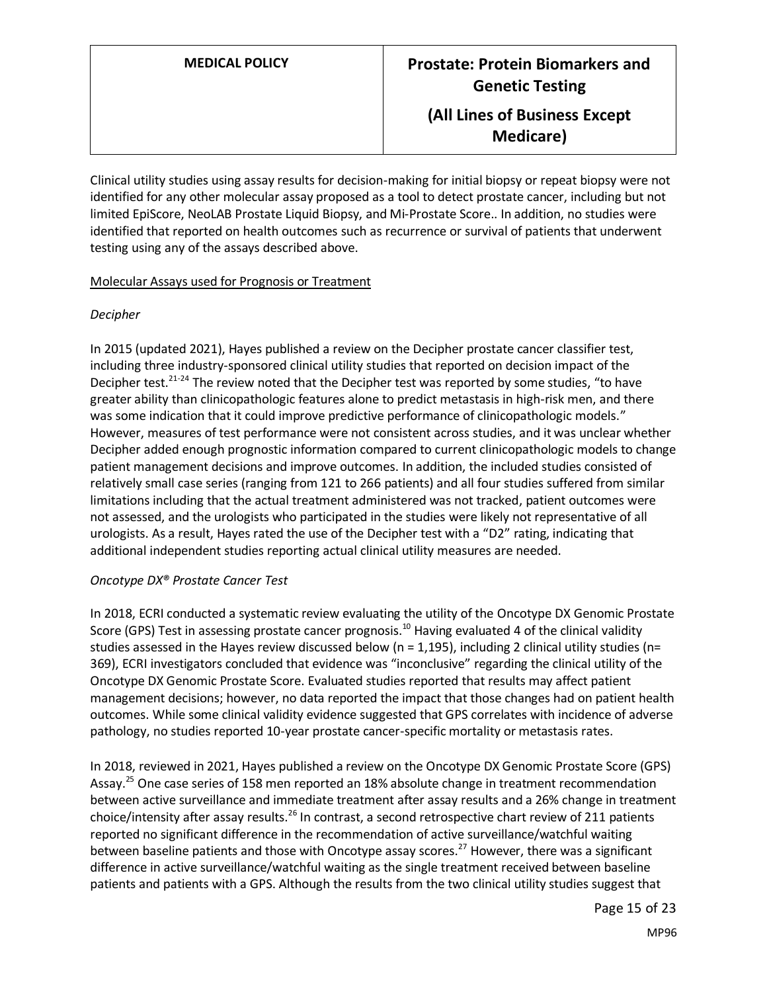Clinical utility studies using assay results for decision-making for initial biopsy or repeat biopsy were not identified for any other molecular assay proposed as a tool to detect prostate cancer, including but not limited EpiScore, NeoLAB Prostate Liquid Biopsy, and Mi-Prostate Score.. In addition, no studies were identified that reported on health outcomes such as recurrence or survival of patients that underwent testing using any of the assays described above.

#### Molecular Assays used for Prognosis or Treatment

#### *Decipher*

In 2015 (updated 2021), Hayes published a review on the Decipher prostate cancer classifier test, including three industry-sponsored clinical utility studies that reported on decision impact of the Decipher test.<sup>21-24</sup> The review noted that the Decipher test was reported by some studies, "to have greater ability than clinicopathologic features alone to predict metastasis in high-risk men, and there was some indication that it could improve predictive performance of clinicopathologic models." However, measures of test performance were not consistent across studies, and it was unclear whether Decipher added enough prognostic information compared to current clinicopathologic models to change patient management decisions and improve outcomes. In addition, the included studies consisted of relatively small case series (ranging from 121 to 266 patients) and all four studies suffered from similar limitations including that the actual treatment administered was not tracked, patient outcomes were not assessed, and the urologists who participated in the studies were likely not representative of all urologists. As a result, Hayes rated the use of the Decipher test with a "D2" rating, indicating that additional independent studies reporting actual clinical utility measures are needed.

#### *Oncotype DX® Prostate Cancer Test*

In 2018, ECRI conducted a systematic review evaluating the utility of the Oncotype DX Genomic Prostate Score (GPS) Test in assessing prostate cancer prognosis.<sup>10</sup> Having evaluated 4 of the clinical validity studies assessed in the Hayes review discussed below (n = 1,195), including 2 clinical utility studies (n= 369), ECRI investigators concluded that evidence was "inconclusive" regarding the clinical utility of the Oncotype DX Genomic Prostate Score. Evaluated studies reported that results may affect patient management decisions; however, no data reported the impact that those changes had on patient health outcomes. While some clinical validity evidence suggested that GPS correlates with incidence of adverse pathology, no studies reported 10-year prostate cancer-specific mortality or metastasis rates.

In 2018, reviewed in 2021, Hayes published a review on the Oncotype DX Genomic Prostate Score (GPS) Assay.<sup>25</sup> One case series of 158 men reported an 18% absolute change in treatment recommendation between active surveillance and immediate treatment after assay results and a 26% change in treatment choice/intensity after assay results.<sup>26</sup> In contrast, a second retrospective chart review of 211 patients reported no significant difference in the recommendation of active surveillance/watchful waiting between baseline patients and those with Oncotype assay scores.<sup>27</sup> However, there was a significant difference in active surveillance/watchful waiting as the single treatment received between baseline patients and patients with a GPS. Although the results from the two clinical utility studies suggest that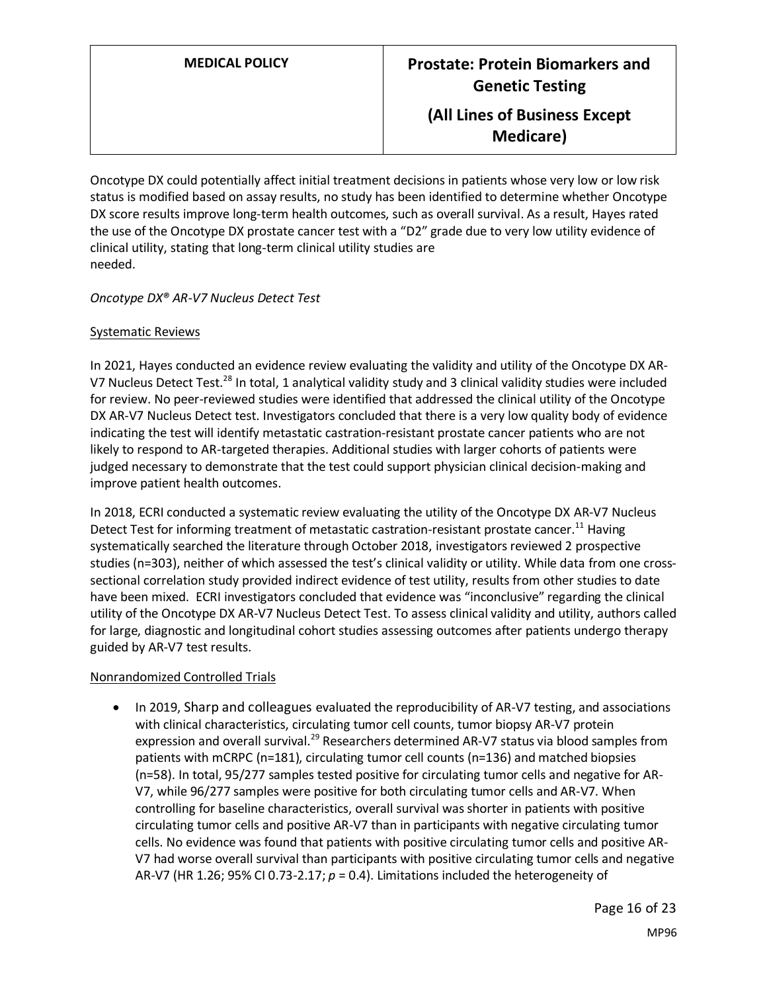Oncotype DX could potentially affect initial treatment decisions in patients whose very low or low risk status is modified based on assay results, no study has been identified to determine whether Oncotype DX score results improve long-term health outcomes, such as overall survival. As a result, Hayes rated the use of the Oncotype DX prostate cancer test with a "D2" grade due to very low utility evidence of clinical utility, stating that long-term clinical utility studies are needed.

#### *Oncotype DX® AR-V7 Nucleus Detect Test*

#### Systematic Reviews

In 2021, Hayes conducted an evidence review evaluating the validity and utility of the Oncotype DX AR-V7 Nucleus Detect Test.<sup>28</sup> In total, 1 analytical validity study and 3 clinical validity studies were included for review. No peer-reviewed studies were identified that addressed the clinical utility of the Oncotype DX AR-V7 Nucleus Detect test. Investigators concluded that there is a very low quality body of evidence indicating the test will identify metastatic castration-resistant prostate cancer patients who are not likely to respond to AR-targeted therapies. Additional studies with larger cohorts of patients were judged necessary to demonstrate that the test could support physician clinical decision-making and improve patient health outcomes.

In 2018, ECRI conducted a systematic review evaluating the utility of the Oncotype DX AR-V7 Nucleus Detect Test for informing treatment of metastatic castration-resistant prostate cancer.<sup>11</sup> Having systematically searched the literature through October 2018, investigators reviewed 2 prospective studies (n=303), neither of which assessed the test's clinical validity or utility. While data from one crosssectional correlation study provided indirect evidence of test utility, results from other studies to date have been mixed. ECRI investigators concluded that evidence was "inconclusive" regarding the clinical utility of the Oncotype DX AR-V7 Nucleus Detect Test. To assess clinical validity and utility, authors called for large, diagnostic and longitudinal cohort studies assessing outcomes after patients undergo therapy guided by AR-V7 test results.

#### Nonrandomized Controlled Trials

• In 2019, Sharp and colleagues evaluated the reproducibility of AR-V7 testing, and associations with clinical characteristics, circulating tumor cell counts, tumor biopsy AR-V7 protein expression and overall survival.<sup>29</sup> Researchers determined AR-V7 status via blood samples from patients with mCRPC (n=181), circulating tumor cell counts (n=136) and matched biopsies (n=58). In total, 95/277 samples tested positive for circulating tumor cells and negative for AR-V7, while 96/277 samples were positive for both circulating tumor cells and AR-V7. When controlling for baseline characteristics, overall survival was shorter in patients with positive circulating tumor cells and positive AR-V7 than in participants with negative circulating tumor cells. No evidence was found that patients with positive circulating tumor cells and positive AR-V7 had worse overall survival than participants with positive circulating tumor cells and negative AR-V7 (HR 1.26; 95% CI 0.73-2.17; *p* = 0.4). Limitations included the heterogeneity of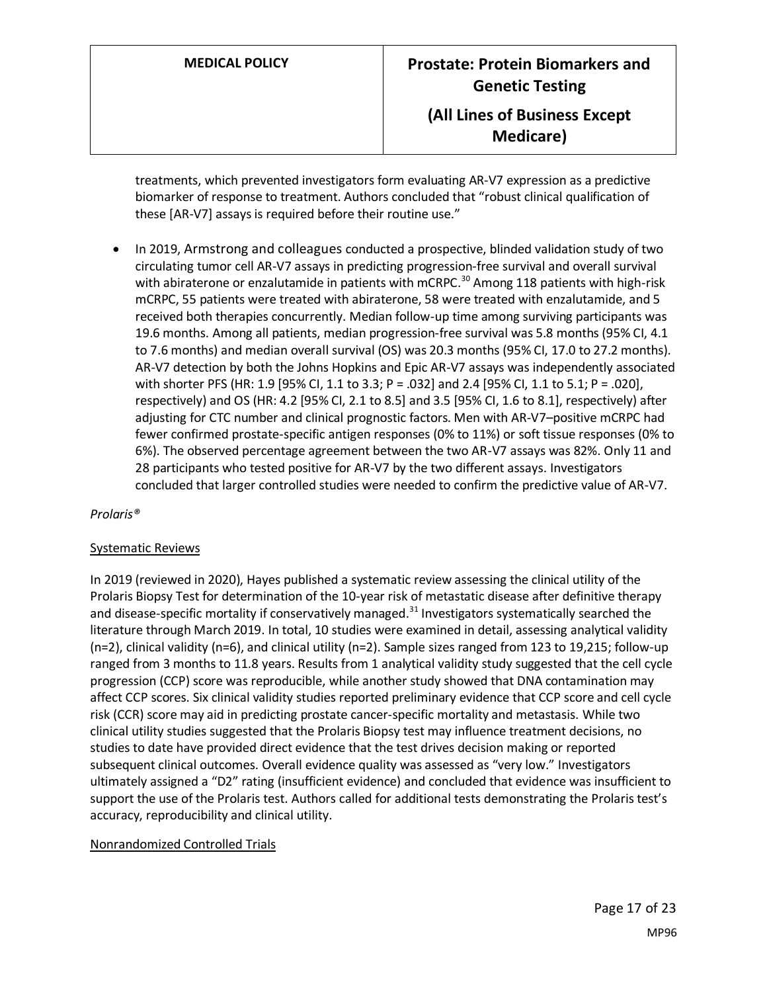treatments, which prevented investigators form evaluating AR-V7 expression as a predictive biomarker of response to treatment. Authors concluded that "robust clinical qualification of these [AR-V7] assays is required before their routine use."

• In 2019, Armstrong and colleagues conducted a prospective, blinded validation study of two circulating tumor cell AR-V7 assays in predicting progression-free survival and overall survival with abiraterone or enzalutamide in patients with mCRPC.<sup>30</sup> Among 118 patients with high-risk mCRPC, 55 patients were treated with abiraterone, 58 were treated with enzalutamide, and 5 received both therapies concurrently. Median follow-up time among surviving participants was 19.6 months. Among all patients, median progression-free survival was 5.8 months (95% CI, 4.1 to 7.6 months) and median overall survival (OS) was 20.3 months (95% CI, 17.0 to 27.2 months). AR-V7 detection by both the Johns Hopkins and Epic AR-V7 assays was independently associated with shorter PFS (HR: 1.9 [95% CI, 1.1 to 3.3; P = .032] and 2.4 [95% CI, 1.1 to 5.1; P = .020], respectively) and OS (HR: 4.2 [95% CI, 2.1 to 8.5] and 3.5 [95% CI, 1.6 to 8.1], respectively) after adjusting for CTC number and clinical prognostic factors. Men with AR-V7–positive mCRPC had fewer confirmed prostate-specific antigen responses (0% to 11%) or soft tissue responses (0% to 6%). The observed percentage agreement between the two AR-V7 assays was 82%. Only 11 and 28 participants who tested positive for AR-V7 by the two different assays. Investigators concluded that larger controlled studies were needed to confirm the predictive value of AR-V7.

*Prolaris®*

#### Systematic Reviews

In 2019 (reviewed in 2020), Hayes published a systematic review assessing the clinical utility of the Prolaris Biopsy Test for determination of the 10-year risk of metastatic disease after definitive therapy and disease-specific mortality if conservatively managed.<sup>31</sup> Investigators systematically searched the literature through March 2019. In total, 10 studies were examined in detail, assessing analytical validity (n=2), clinical validity (n=6), and clinical utility (n=2). Sample sizes ranged from 123 to 19,215; follow-up ranged from 3 months to 11.8 years. Results from 1 analytical validity study suggested that the cell cycle progression (CCP) score was reproducible, while another study showed that DNA contamination may affect CCP scores. Six clinical validity studies reported preliminary evidence that CCP score and cell cycle risk (CCR) score may aid in predicting prostate cancer-specific mortality and metastasis. While two clinical utility studies suggested that the Prolaris Biopsy test may influence treatment decisions, no studies to date have provided direct evidence that the test drives decision making or reported subsequent clinical outcomes. Overall evidence quality was assessed as "very low." Investigators ultimately assigned a "D2" rating (insufficient evidence) and concluded that evidence was insufficient to support the use of the Prolaris test. Authors called for additional tests demonstrating the Prolaris test's accuracy, reproducibility and clinical utility.

### Nonrandomized Controlled Trials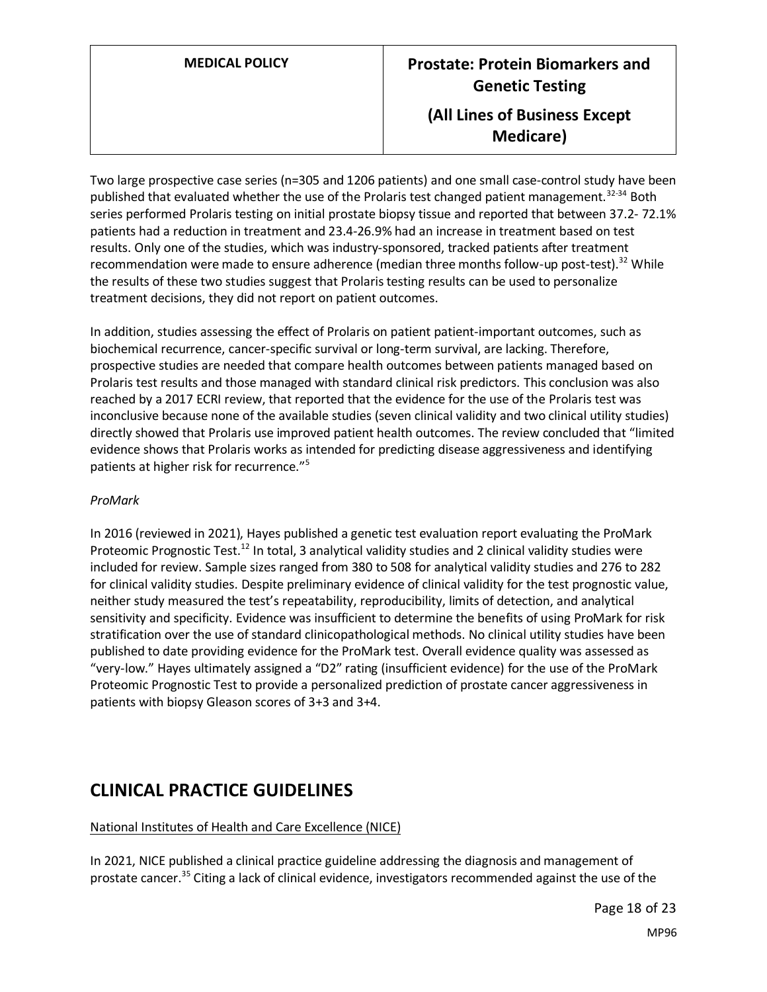Two large prospective case series (n=305 and 1206 patients) and one small case-control study have been published that evaluated whether the use of the Prolaris test changed patient management.<sup>32-34</sup> Both series performed Prolaris testing on initial prostate biopsy tissue and reported that between 37.2- 72.1% patients had a reduction in treatment and 23.4-26.9% had an increase in treatment based on test results. Only one of the studies, which was industry-sponsored, tracked patients after treatment recommendation were made to ensure adherence (median three months follow-up post-test).<sup>32</sup> While the results of these two studies suggest that Prolaris testing results can be used to personalize treatment decisions, they did not report on patient outcomes.

In addition, studies assessing the effect of Prolaris on patient patient-important outcomes, such as biochemical recurrence, cancer-specific survival or long-term survival, are lacking. Therefore, prospective studies are needed that compare health outcomes between patients managed based on Prolaris test results and those managed with standard clinical risk predictors. This conclusion was also reached by a 2017 ECRI review, that reported that the evidence for the use of the Prolaris test was inconclusive because none of the available studies (seven clinical validity and two clinical utility studies) directly showed that Prolaris use improved patient health outcomes. The review concluded that "limited evidence shows that Prolaris works as intended for predicting disease aggressiveness and identifying patients at higher risk for recurrence."<sup>5</sup>

### *ProMark*

In 2016 (reviewed in 2021), Hayes published a genetic test evaluation report evaluating the ProMark Proteomic Prognostic Test.<sup>12</sup> In total, 3 analytical validity studies and 2 clinical validity studies were included for review. Sample sizes ranged from 380 to 508 for analytical validity studies and 276 to 282 for clinical validity studies. Despite preliminary evidence of clinical validity for the test prognostic value, neither study measured the test's repeatability, reproducibility, limits of detection, and analytical sensitivity and specificity. Evidence was insufficient to determine the benefits of using ProMark for risk stratification over the use of standard clinicopathological methods. No clinical utility studies have been published to date providing evidence for the ProMark test. Overall evidence quality was assessed as "very-low." Hayes ultimately assigned a "D2" rating (insufficient evidence) for the use of the ProMark Proteomic Prognostic Test to provide a personalized prediction of prostate cancer aggressiveness in patients with biopsy Gleason scores of 3+3 and 3+4.

# **CLINICAL PRACTICE GUIDELINES**

#### National Institutes of Health and Care Excellence (NICE)

In 2021, NICE published a clinical practice guideline addressing the diagnosis and management of prostate cancer.<sup>35</sup> Citing a lack of clinical evidence, investigators recommended against the use of the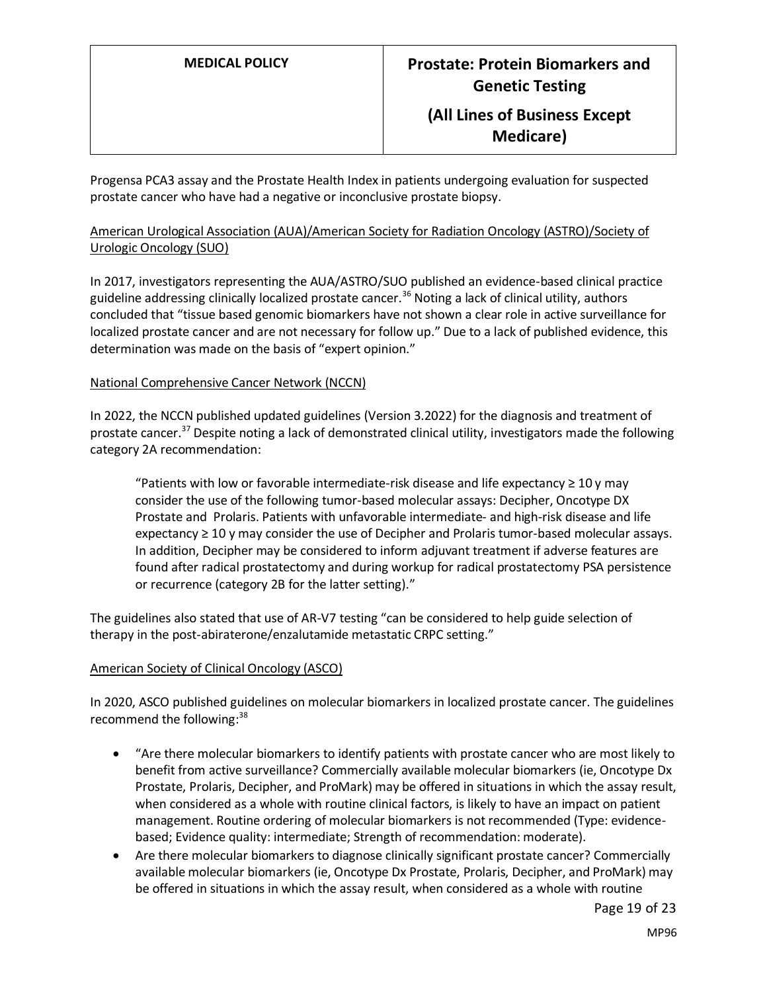Progensa PCA3 assay and the Prostate Health Index in patients undergoing evaluation for suspected prostate cancer who have had a negative or inconclusive prostate biopsy.

#### American Urological Association (AUA)/American Society for Radiation Oncology (ASTRO)/Society of Urologic Oncology (SUO)

In 2017, investigators representing the AUA/ASTRO/SUO published an evidence-based clinical practice guideline addressing clinically localized prostate cancer.<sup>36</sup> Noting a lack of clinical utility, authors concluded that "tissue based genomic biomarkers have not shown a clear role in active surveillance for localized prostate cancer and are not necessary for follow up." Due to a lack of published evidence, this determination was made on the basis of "expert opinion."

#### National Comprehensive Cancer Network (NCCN)

In 2022, the NCCN published updated guidelines (Version 3.2022) for the diagnosis and treatment of prostate cancer.<sup>37</sup> Despite noting a lack of demonstrated clinical utility, investigators made the following category 2A recommendation:

"Patients with low or favorable intermediate-risk disease and life expectancy  $\geq 10$  y may consider the use of the following tumor-based molecular assays: Decipher, Oncotype DX Prostate and Prolaris. Patients with unfavorable intermediate- and high-risk disease and life expectancy ≥ 10 y may consider the use of Decipher and Prolaris tumor-based molecular assays. In addition, Decipher may be considered to inform adjuvant treatment if adverse features are found after radical prostatectomy and during workup for radical prostatectomy PSA persistence or recurrence (category 2B for the latter setting)."

The guidelines also stated that use of AR-V7 testing "can be considered to help guide selection of therapy in the post-abiraterone/enzalutamide metastatic CRPC setting."

#### American Society of Clinical Oncology (ASCO)

In 2020, ASCO published guidelines on molecular biomarkers in localized prostate cancer. The guidelines recommend the following:<sup>38</sup>

- "Are there molecular biomarkers to identify patients with prostate cancer who are most likely to benefit from active surveillance? Commercially available molecular biomarkers (ie, Oncotype Dx Prostate, Prolaris, Decipher, and ProMark) may be offered in situations in which the assay result, when considered as a whole with routine clinical factors, is likely to have an impact on patient management. Routine ordering of molecular biomarkers is not recommended (Type: evidencebased; Evidence quality: intermediate; Strength of recommendation: moderate).
- Are there molecular biomarkers to diagnose clinically significant prostate cancer? Commercially available molecular biomarkers (ie, Oncotype Dx Prostate, Prolaris, Decipher, and ProMark) may be offered in situations in which the assay result, when considered as a whole with routine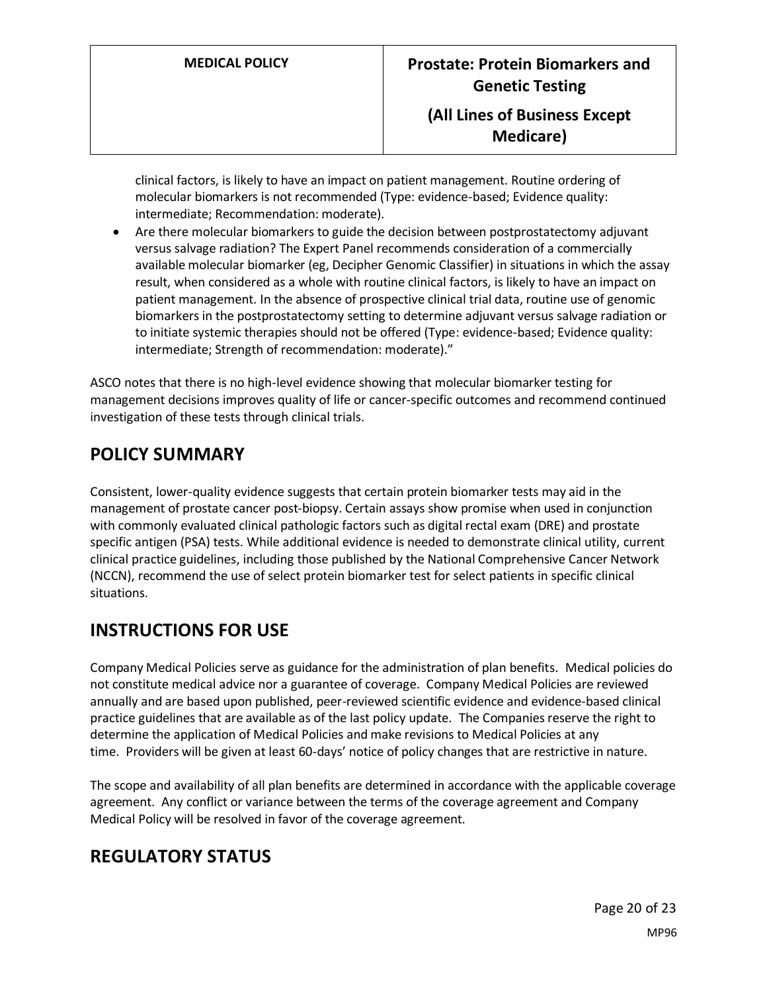clinical factors, is likely to have an impact on patient management. Routine ordering of molecular biomarkers is not recommended (Type: evidence-based; Evidence quality: intermediate; Recommendation: moderate).

• Are there molecular biomarkers to guide the decision between postprostatectomy adjuvant versus salvage radiation? The Expert Panel recommends consideration of a commercially available molecular biomarker (eg, Decipher Genomic Classifier) in situations in which the assay result, when considered as a whole with routine clinical factors, is likely to have an impact on patient management. In the absence of prospective clinical trial data, routine use of genomic biomarkers in the postprostatectomy setting to determine adjuvant versus salvage radiation or to initiate systemic therapies should not be offered (Type: evidence-based; Evidence quality: intermediate; Strength of recommendation: moderate)."

ASCO notes that there is no high-level evidence showing that molecular biomarker testing for management decisions improves quality of life or cancer-specific outcomes and recommend continued investigation of these tests through clinical trials.

# <span id="page-19-0"></span>**POLICY SUMMARY**

Consistent, lower-quality evidence suggests that certain protein biomarker tests may aid in the management of prostate cancer post-biopsy. Certain assays show promise when used in conjunction with commonly evaluated clinical pathologic factors such as digital rectal exam (DRE) and prostate specific antigen (PSA) tests. While additional evidence is needed to demonstrate clinical utility, current clinical practice guidelines, including those published by the National Comprehensive Cancer Network (NCCN), recommend the use of select protein biomarker test for select patients in specific clinical situations.

# **INSTRUCTIONS FOR USE**

Company Medical Policies serve as guidance for the administration of plan benefits. Medical policies do not constitute medical advice nor a guarantee of coverage. Company Medical Policies are reviewed annually and are based upon published, peer-reviewed scientific evidence and evidence-based clinical practice guidelines that are available as of the last policy update. The Companies reserve the right to determine the application of Medical Policies and make revisions to Medical Policies at any time. Providers will be given at least 60-days' notice of policy changes that are restrictive in nature.

The scope and availability of all plan benefits are determined in accordance with the applicable coverage agreement. Any conflict or variance between the terms of the coverage agreement and Company Medical Policy will be resolved in favor of the coverage agreement.

# **REGULATORY STATUS**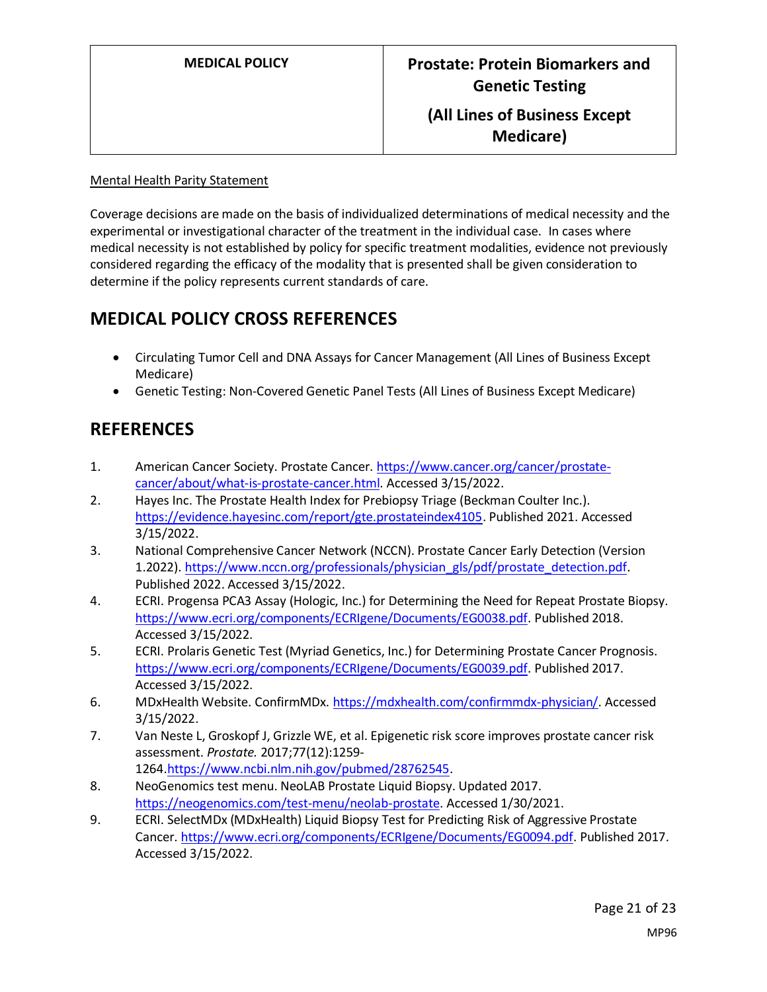#### Mental Health Parity Statement

Coverage decisions are made on the basis of individualized determinations of medical necessity and the experimental or investigational character of the treatment in the individual case. In cases where medical necessity is not established by policy for specific treatment modalities, evidence not previously considered regarding the efficacy of the modality that is presented shall be given consideration to determine if the policy represents current standards of care.

# **MEDICAL POLICY CROSS REFERENCES**

- Circulating Tumor Cell and DNA Assays for Cancer Management (All Lines of Business Except Medicare)
- Genetic Testing: Non-Covered Genetic Panel Tests (All Lines of Business Except Medicare)

# **REFERENCES**

- 1. American Cancer Society. Prostate Cancer. [https://www.cancer.org/cancer/prostate](https://www.cancer.org/cancer/prostate-cancer/about/what-is-prostate-cancer.html)[cancer/about/what-is-prostate-cancer.html.](https://www.cancer.org/cancer/prostate-cancer/about/what-is-prostate-cancer.html) Accessed 3/15/2022.
- 2. Hayes Inc. The Prostate Health Index for Prebiopsy Triage (Beckman Coulter Inc.). [https://evidence.hayesinc.com/report/gte.prostateindex4105.](https://evidence.hayesinc.com/report/gte.prostateindex4105) Published 2021. Accessed 3/15/2022.
- 3. National Comprehensive Cancer Network (NCCN). Prostate Cancer Early Detection (Version 1.2022)[. https://www.nccn.org/professionals/physician\\_gls/pdf/prostate\\_detection.pdf.](https://www.nccn.org/professionals/physician_gls/pdf/prostate_detection.pdf) Published 2022. Accessed 3/15/2022.
- 4. ECRI. Progensa PCA3 Assay (Hologic, Inc.) for Determining the Need for Repeat Prostate Biopsy. [https://www.ecri.org/components/ECRIgene/Documents/EG0038.pdf.](https://www.ecri.org/components/ECRIgene/Documents/EG0038.pdf) Published 2018. Accessed 3/15/2022.
- 5. ECRI. Prolaris Genetic Test (Myriad Genetics, Inc.) for Determining Prostate Cancer Prognosis. [https://www.ecri.org/components/ECRIgene/Documents/EG0039.pdf.](https://www.ecri.org/components/ECRIgene/Documents/EG0039.pdf) Published 2017. Accessed 3/15/2022.
- 6. MDxHealth Website. ConfirmMDx[. https://mdxhealth.com/confirmmdx-physician/.](https://mdxhealth.com/confirmmdx-physician/) Accessed 3/15/2022.
- 7. Van Neste L, Groskopf J, Grizzle WE, et al. Epigenetic risk score improves prostate cancer risk assessment. *Prostate.* 2017;77(12):1259- 1264[.https://www.ncbi.nlm.nih.gov/pubmed/28762545.](https://www.ncbi.nlm.nih.gov/pubmed/28762545)
- 8. NeoGenomics test menu. NeoLAB Prostate Liquid Biopsy. Updated 2017. [https://neogenomics.com/test-menu/neolab-prostate.](https://neogenomics.com/test-menu/neolab-prostate) Accessed 1/30/2021.
- 9. ECRI. SelectMDx (MDxHealth) Liquid Biopsy Test for Predicting Risk of Aggressive Prostate Cancer. [https://www.ecri.org/components/ECRIgene/Documents/EG0094.pdf.](https://www.ecri.org/components/ECRIgene/Documents/EG0094.pdf) Published 2017. Accessed 3/15/2022.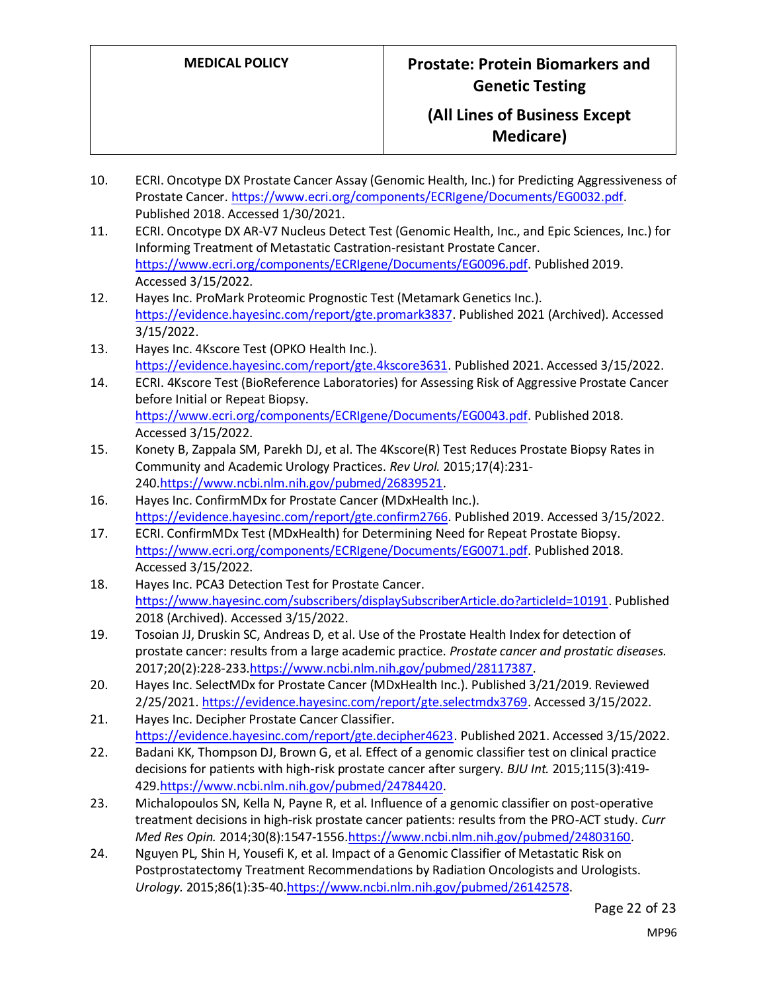- 10. ECRI. Oncotype DX Prostate Cancer Assay (Genomic Health, Inc.) for Predicting Aggressiveness of Prostate Cancer[. https://www.ecri.org/components/ECRIgene/Documents/EG0032.pdf.](https://www.ecri.org/components/ECRIgene/Documents/EG0032.pdf) Published 2018. Accessed 1/30/2021.
- 11. ECRI. Oncotype DX AR-V7 Nucleus Detect Test (Genomic Health, Inc., and Epic Sciences, Inc.) for Informing Treatment of Metastatic Castration-resistant Prostate Cancer. [https://www.ecri.org/components/ECRIgene/Documents/EG0096.pdf.](https://www.ecri.org/components/ECRIgene/Documents/EG0096.pdf) Published 2019. Accessed 3/15/2022.
- 12. Hayes Inc. ProMark Proteomic Prognostic Test (Metamark Genetics Inc.). [https://evidence.hayesinc.com/report/gte.promark3837.](https://evidence.hayesinc.com/report/gte.promark3837) Published 2021 (Archived). Accessed 3/15/2022.
- 13. Hayes Inc. 4Kscore Test (OPKO Health Inc.). [https://evidence.hayesinc.com/report/gte.4kscore3631.](https://evidence.hayesinc.com/report/gte.4kscore3631) Published 2021. Accessed 3/15/2022.
- 14. ECRI. 4Kscore Test (BioReference Laboratories) for Assessing Risk of Aggressive Prostate Cancer before Initial or Repeat Biopsy. [https://www.ecri.org/components/ECRIgene/Documents/EG0043.pdf.](https://www.ecri.org/components/ECRIgene/Documents/EG0043.pdf) Published 2018. Accessed 3/15/2022.
- 15. Konety B, Zappala SM, Parekh DJ, et al. The 4Kscore(R) Test Reduces Prostate Biopsy Rates in Community and Academic Urology Practices. *Rev Urol.* 2015;17(4):231- 240[.https://www.ncbi.nlm.nih.gov/pubmed/26839521.](https://www.ncbi.nlm.nih.gov/pubmed/26839521)
- 16. Hayes Inc. ConfirmMDx for Prostate Cancer (MDxHealth Inc.). [https://evidence.hayesinc.com/report/gte.confirm2766.](https://evidence.hayesinc.com/report/gte.confirm2766) Published 2019. Accessed 3/15/2022.
- 17. ECRI. ConfirmMDx Test (MDxHealth) for Determining Need for Repeat Prostate Biopsy. [https://www.ecri.org/components/ECRIgene/Documents/EG0071.pdf.](https://www.ecri.org/components/ECRIgene/Documents/EG0071.pdf) Published 2018. Accessed 3/15/2022.
- 18. Hayes Inc. PCA3 Detection Test for Prostate Cancer. [https://www.hayesinc.com/subscribers/displaySubscriberArticle.do?articleId=10191.](https://www.hayesinc.com/subscribers/displaySubscriberArticle.do?articleId=10191) Published 2018 (Archived). Accessed 3/15/2022.
- 19. Tosoian JJ, Druskin SC, Andreas D, et al. Use of the Prostate Health Index for detection of prostate cancer: results from a large academic practice. *Prostate cancer and prostatic diseases.*  2017;20(2):228-233[.https://www.ncbi.nlm.nih.gov/pubmed/28117387.](https://www.ncbi.nlm.nih.gov/pubmed/28117387)
- 20. Hayes Inc. SelectMDx for Prostate Cancer (MDxHealth Inc.). Published 3/21/2019. Reviewed 2/25/2021. [https://evidence.hayesinc.com/report/gte.selectmdx3769.](https://evidence.hayesinc.com/report/gte.selectmdx3769) Accessed 3/15/2022.
- 21. Hayes Inc. Decipher Prostate Cancer Classifier. [https://evidence.hayesinc.com/report/gte.decipher4623.](https://evidence.hayesinc.com/report/gte.decipher4623) Published 2021. Accessed 3/15/2022.
- 22. Badani KK, Thompson DJ, Brown G, et al. Effect of a genomic classifier test on clinical practice decisions for patients with high-risk prostate cancer after surgery. *BJU Int.* 2015;115(3):419- 429[.https://www.ncbi.nlm.nih.gov/pubmed/24784420.](https://www.ncbi.nlm.nih.gov/pubmed/24784420)
- 23. Michalopoulos SN, Kella N, Payne R, et al. Influence of a genomic classifier on post-operative treatment decisions in high-risk prostate cancer patients: results from the PRO-ACT study. *Curr Med Res Opin.* 2014;30(8):1547-155[6.https://www.ncbi.nlm.nih.gov/pubmed/24803160.](https://www.ncbi.nlm.nih.gov/pubmed/24803160)
- 24. Nguyen PL, Shin H, Yousefi K, et al. Impact of a Genomic Classifier of Metastatic Risk on Postprostatectomy Treatment Recommendations by Radiation Oncologists and Urologists. *Urology.* 2015;86(1):35-4[0.https://www.ncbi.nlm.nih.gov/pubmed/26142578.](https://www.ncbi.nlm.nih.gov/pubmed/26142578)